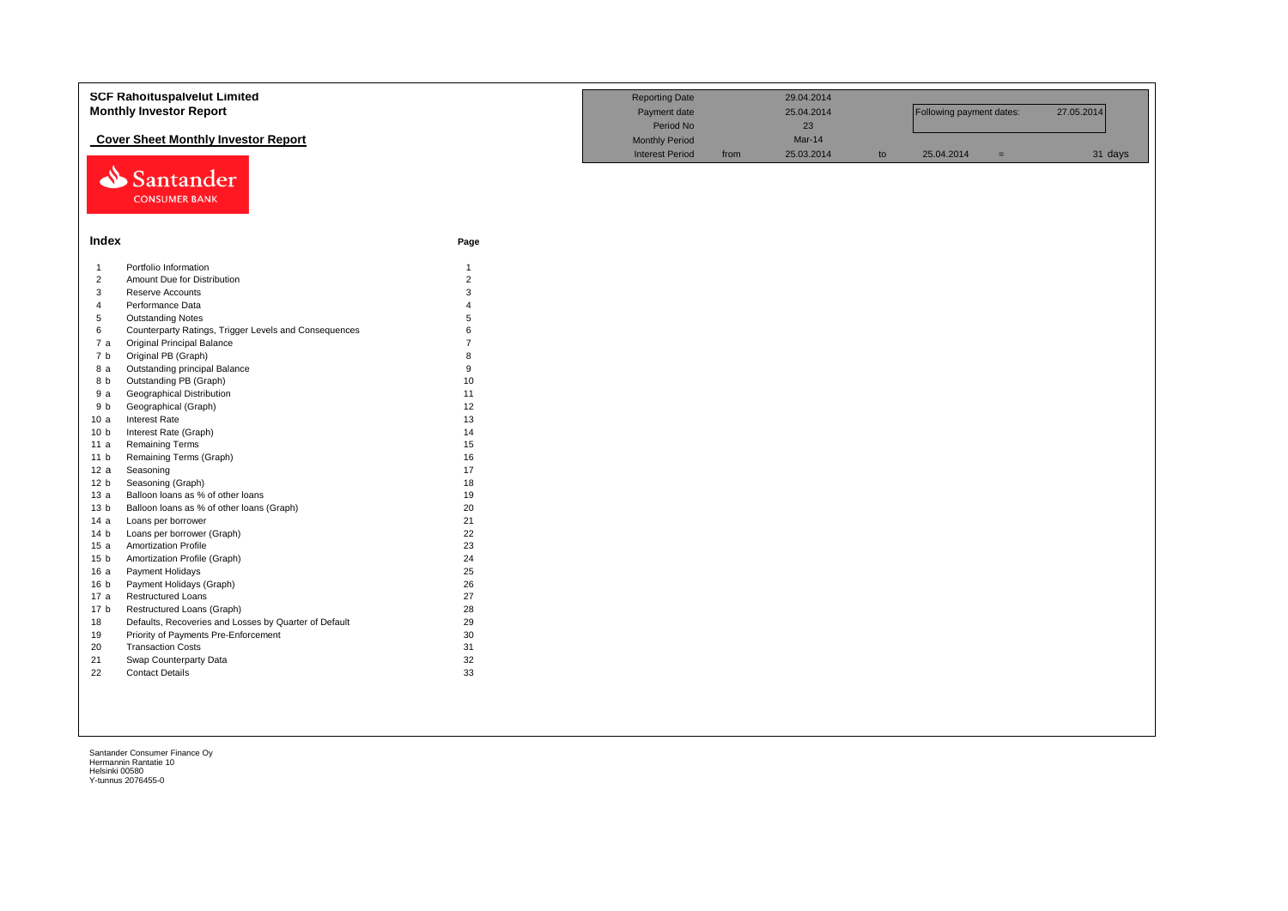|                 | <b>SCF Rahoituspalvelut Limited</b>                   |                | <b>Reporting Date</b>  |      | 29.04.2014 |    |                          |     |            |
|-----------------|-------------------------------------------------------|----------------|------------------------|------|------------|----|--------------------------|-----|------------|
|                 | <b>Monthly Investor Report</b>                        |                | Payment date           |      | 25.04.2014 |    | Following payment dates: |     | 27.05.2014 |
|                 |                                                       |                | Period No              |      | 23         |    |                          |     |            |
|                 | <b>Cover Sheet Monthly Investor Report</b>            |                | <b>Monthly Period</b>  |      | Mar-14     |    |                          |     |            |
|                 |                                                       |                | <b>Interest Period</b> | from | 25.03.2014 | to | 25.04.2014               | $=$ | 31 days    |
|                 | Santander<br><b>CONSUMER BANK</b>                     |                |                        |      |            |    |                          |     |            |
| Index           |                                                       | Page           |                        |      |            |    |                          |     |            |
| $\overline{1}$  | Portfolio Information                                 | $\mathbf{1}$   |                        |      |            |    |                          |     |            |
| $\overline{2}$  | Amount Due for Distribution                           | $\overline{2}$ |                        |      |            |    |                          |     |            |
| 3               | Reserve Accounts                                      | 3              |                        |      |            |    |                          |     |            |
| $\overline{4}$  | Performance Data                                      | $\Delta$       |                        |      |            |    |                          |     |            |
| $\,$ 5          | <b>Outstanding Notes</b>                              | 5              |                        |      |            |    |                          |     |            |
| 6               | Counterparty Ratings, Trigger Levels and Consequences | 6              |                        |      |            |    |                          |     |            |
| 7a              | <b>Original Principal Balance</b>                     | $\overline{7}$ |                        |      |            |    |                          |     |            |
| 7 <sub>b</sub>  | Original PB (Graph)                                   | 8              |                        |      |            |    |                          |     |            |
| 8 a             | Outstanding principal Balance                         | 9              |                        |      |            |    |                          |     |            |
| 8 b             | Outstanding PB (Graph)                                | 10             |                        |      |            |    |                          |     |            |
| 9a              | <b>Geographical Distribution</b>                      | 11             |                        |      |            |    |                          |     |            |
| 9 b             | Geographical (Graph)                                  | 12             |                        |      |            |    |                          |     |            |
| 10a             | Interest Rate                                         | 13             |                        |      |            |    |                          |     |            |
| 10 <sub>b</sub> | Interest Rate (Graph)                                 | 14             |                        |      |            |    |                          |     |            |
| 11a             | <b>Remaining Terms</b>                                | 15             |                        |      |            |    |                          |     |            |
| 11 <sub>b</sub> | Remaining Terms (Graph)                               | 16             |                        |      |            |    |                          |     |            |
| 12a             | Seasoning                                             | 17             |                        |      |            |    |                          |     |            |
| 12 <sub>b</sub> | Seasoning (Graph)                                     | 18             |                        |      |            |    |                          |     |            |
| 13a             | Balloon loans as % of other loans                     | 19             |                        |      |            |    |                          |     |            |
| 13 <sub>b</sub> | Balloon loans as % of other loans (Graph)             | 20             |                        |      |            |    |                          |     |            |
| 14 a            | Loans per borrower                                    | 21             |                        |      |            |    |                          |     |            |
| 14 <sub>b</sub> | Loans per borrower (Graph)                            | 22             |                        |      |            |    |                          |     |            |
| 15a             | <b>Amortization Profile</b>                           | 23             |                        |      |            |    |                          |     |            |
| 15 <sub>b</sub> | Amortization Profile (Graph)                          | 24             |                        |      |            |    |                          |     |            |
| 16a             | Payment Holidays                                      | 25             |                        |      |            |    |                          |     |            |
| 16 <sub>b</sub> | Payment Holidays (Graph)                              | 26             |                        |      |            |    |                          |     |            |
| 17 a            | <b>Restructured Loans</b>                             | 27             |                        |      |            |    |                          |     |            |
| 17 <sub>b</sub> | Restructured Loans (Graph)                            | 28             |                        |      |            |    |                          |     |            |
| 18              | Defaults, Recoveries and Losses by Quarter of Default | 29             |                        |      |            |    |                          |     |            |
| 19              | Priority of Payments Pre-Enforcement                  | 30             |                        |      |            |    |                          |     |            |
| 20              | <b>Transaction Costs</b>                              | 31             |                        |      |            |    |                          |     |            |
| 21              | Swap Counterparty Data                                | 32             |                        |      |            |    |                          |     |            |
| 22              | <b>Contact Details</b>                                | 33             |                        |      |            |    |                          |     |            |
|                 |                                                       |                |                        |      |            |    |                          |     |            |
|                 |                                                       |                |                        |      |            |    |                          |     |            |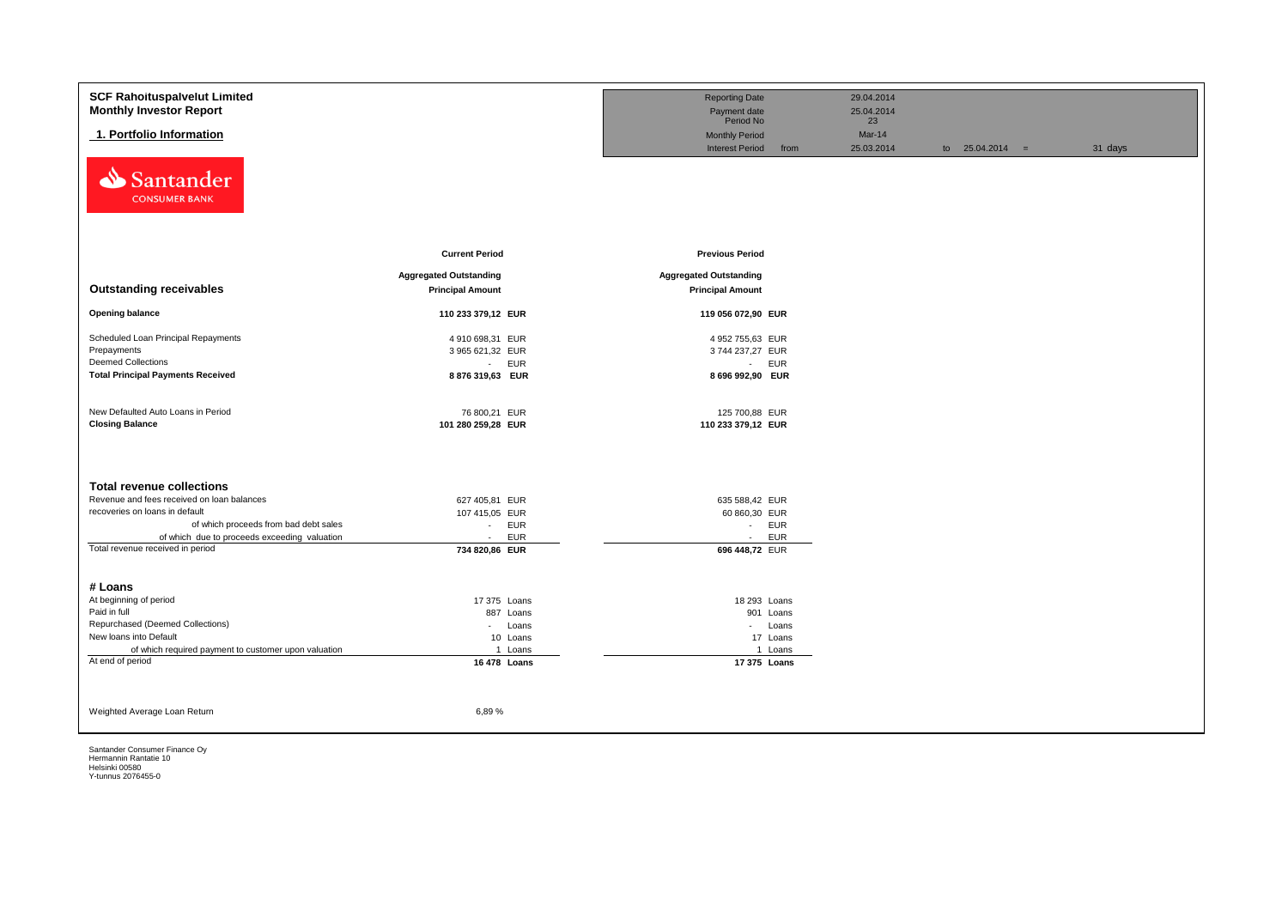| <b>SCF Rahoituspalvelut Limited</b>                                     |                                | <b>Reporting Date</b>         | 29.04.2014         |                   |         |  |
|-------------------------------------------------------------------------|--------------------------------|-------------------------------|--------------------|-------------------|---------|--|
| <b>Monthly Investor Report</b>                                          |                                | Payment date<br>Period No     | 25.04.2014<br>23   |                   |         |  |
| 1. Portfolio Information                                                |                                | <b>Monthly Period</b>         | Mar-14             |                   |         |  |
|                                                                         |                                | <b>Interest Period</b>        | 25.03.2014<br>from | to $25.04.2014 =$ | 31 days |  |
| Santander<br>⇘<br><b>CONSUMER BANK</b>                                  |                                |                               |                    |                   |         |  |
|                                                                         | <b>Current Period</b>          | <b>Previous Period</b>        |                    |                   |         |  |
|                                                                         | <b>Aggregated Outstanding</b>  | <b>Aggregated Outstanding</b> |                    |                   |         |  |
| <b>Outstanding receivables</b>                                          | <b>Principal Amount</b>        | <b>Principal Amount</b>       |                    |                   |         |  |
| <b>Opening balance</b>                                                  | 110 233 379,12 EUR             | 119 056 072,90 EUR            |                    |                   |         |  |
| Scheduled Loan Principal Repayments                                     | 4 910 698,31 EUR               | 4 952 755,63 EUR              |                    |                   |         |  |
| Prepayments                                                             | 3 965 621,32 EUR               | 3744 237,27 EUR               |                    |                   |         |  |
| <b>Deemed Collections</b>                                               | <b>EUR</b><br>$\sim 10$        | - EUR                         |                    |                   |         |  |
| <b>Total Principal Payments Received</b>                                | 8 876 319,63 EUR               | 8 696 992,90 EUR              |                    |                   |         |  |
|                                                                         |                                |                               |                    |                   |         |  |
| New Defaulted Auto Loans in Period                                      | 76 800,21 EUR                  | 125 700,88 EUR                |                    |                   |         |  |
| <b>Closing Balance</b>                                                  | 101 280 259,28 EUR             | 110 233 379,12 EUR            |                    |                   |         |  |
|                                                                         |                                |                               |                    |                   |         |  |
|                                                                         |                                |                               |                    |                   |         |  |
|                                                                         |                                |                               |                    |                   |         |  |
| <b>Total revenue collections</b>                                        |                                |                               |                    |                   |         |  |
| Revenue and fees received on loan balances                              | 627 405,81 EUR                 | 635 588,42 EUR                |                    |                   |         |  |
| recoveries on loans in default<br>of which proceeds from bad debt sales | 107 415,05 EUR<br>EUR          | 60 860,30 EUR<br>- EUR        |                    |                   |         |  |
| of which due to proceeds exceeding valuation                            | $\sim$<br><b>EUR</b><br>$\sim$ | - EUR                         |                    |                   |         |  |
| Total revenue received in period                                        | 734 820,86 EUR                 | 696 448,72 EUR                |                    |                   |         |  |
|                                                                         |                                |                               |                    |                   |         |  |
|                                                                         |                                |                               |                    |                   |         |  |
| # Loans                                                                 |                                |                               |                    |                   |         |  |
| At beginning of period                                                  | 17 375 Loans                   | 18 293 Loans                  |                    |                   |         |  |
| Paid in full<br>Repurchased (Deemed Collections)                        | 887 Loans                      | 901 Loans                     |                    |                   |         |  |
| New loans into Default                                                  | - Loans<br>10 Loans            | - Loans<br>17 Loans           |                    |                   |         |  |
| of which required payment to customer upon valuation                    | 1 Loans                        | 1 Loans                       |                    |                   |         |  |
| At end of period                                                        | 16 478 Loans                   | 17 375 Loans                  |                    |                   |         |  |
|                                                                         |                                |                               |                    |                   |         |  |
|                                                                         |                                |                               |                    |                   |         |  |
|                                                                         |                                |                               |                    |                   |         |  |
| Weighted Average Loan Return                                            | 6,89%                          |                               |                    |                   |         |  |
|                                                                         |                                |                               |                    |                   |         |  |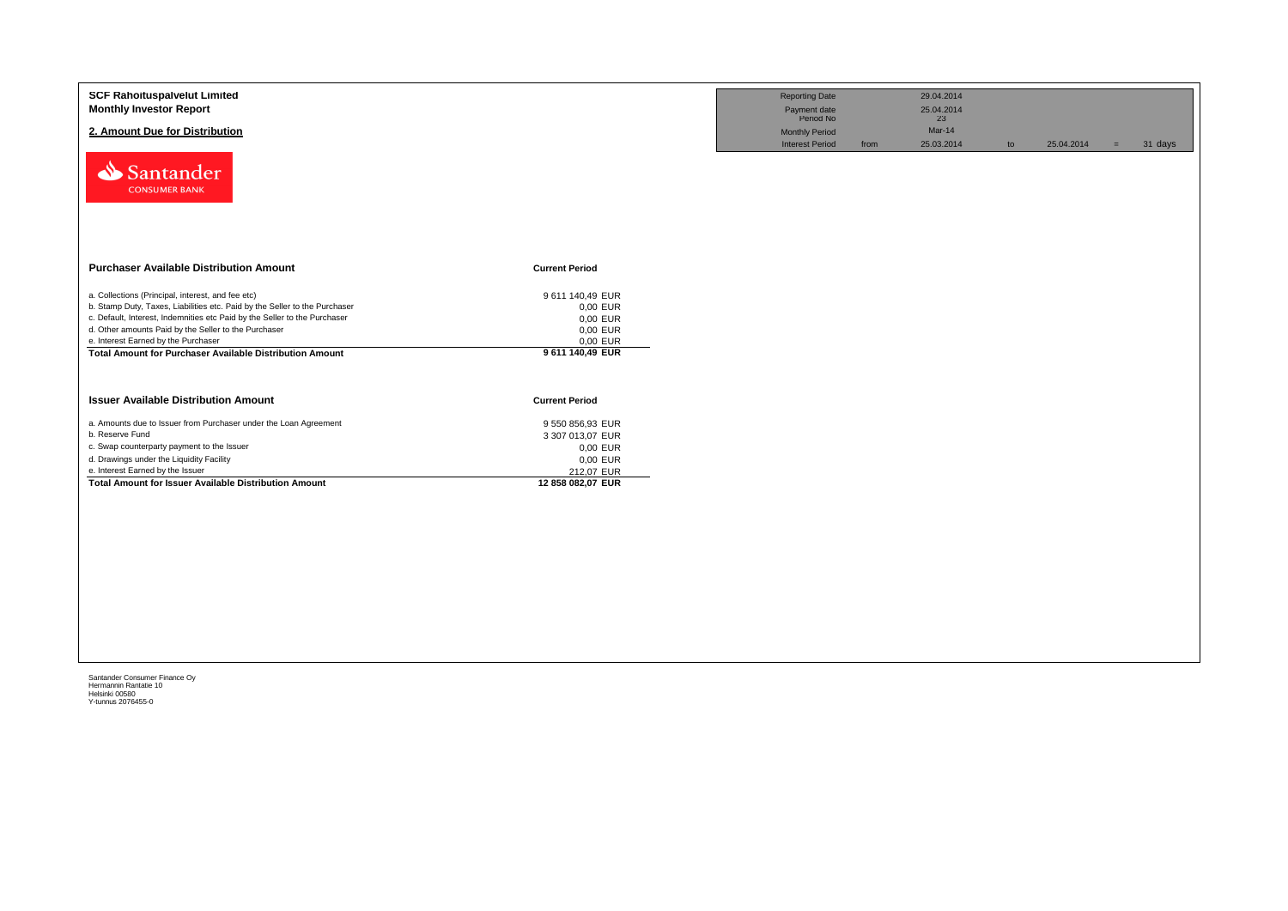| <b>SCF Rahoituspalvelut Limited</b><br><b>Monthly Investor Report</b><br>2. Amount Due for Distribution<br>Santander<br><b>CONSUMER BANK</b>                                                                                                                                                                                                                                   |                                                                                                 | <b>Reporting Date</b><br>Payment date<br>Period No<br><b>Monthly Period</b><br><b>Interest Period</b> | from | 29.04.2014<br>25.04.2014<br>23<br>Mar-14<br>25.03.2014 | to | 25.04.2014 | $=$ | 31 days |
|--------------------------------------------------------------------------------------------------------------------------------------------------------------------------------------------------------------------------------------------------------------------------------------------------------------------------------------------------------------------------------|-------------------------------------------------------------------------------------------------|-------------------------------------------------------------------------------------------------------|------|--------------------------------------------------------|----|------------|-----|---------|
| <b>Purchaser Available Distribution Amount</b>                                                                                                                                                                                                                                                                                                                                 | <b>Current Period</b>                                                                           |                                                                                                       |      |                                                        |    |            |     |         |
| a. Collections (Principal, interest, and fee etc)<br>b. Stamp Duty, Taxes, Liabilities etc. Paid by the Seller to the Purchaser<br>c. Default, Interest, Indemnities etc Paid by the Seller to the Purchaser<br>d. Other amounts Paid by the Seller to the Purchaser<br>e. Interest Earned by the Purchaser<br><b>Total Amount for Purchaser Available Distribution Amount</b> | 9 611 140,49 EUR<br>0,00 EUR<br>0,00 EUR<br>0,00 EUR<br>0,00 EUR<br>9 611 140,49 EUR            |                                                                                                       |      |                                                        |    |            |     |         |
| <b>Issuer Available Distribution Amount</b>                                                                                                                                                                                                                                                                                                                                    | <b>Current Period</b>                                                                           |                                                                                                       |      |                                                        |    |            |     |         |
| a. Amounts due to Issuer from Purchaser under the Loan Agreement<br>b. Reserve Fund<br>c. Swap counterparty payment to the Issuer<br>d. Drawings under the Liquidity Facility<br>e. Interest Earned by the Issuer<br><b>Total Amount for Issuer Available Distribution Amount</b>                                                                                              | 9 550 856,93 EUR<br>3 307 013,07 EUR<br>0,00 EUR<br>0,00 EUR<br>212,07 EUR<br>12 858 082,07 EUR |                                                                                                       |      |                                                        |    |            |     |         |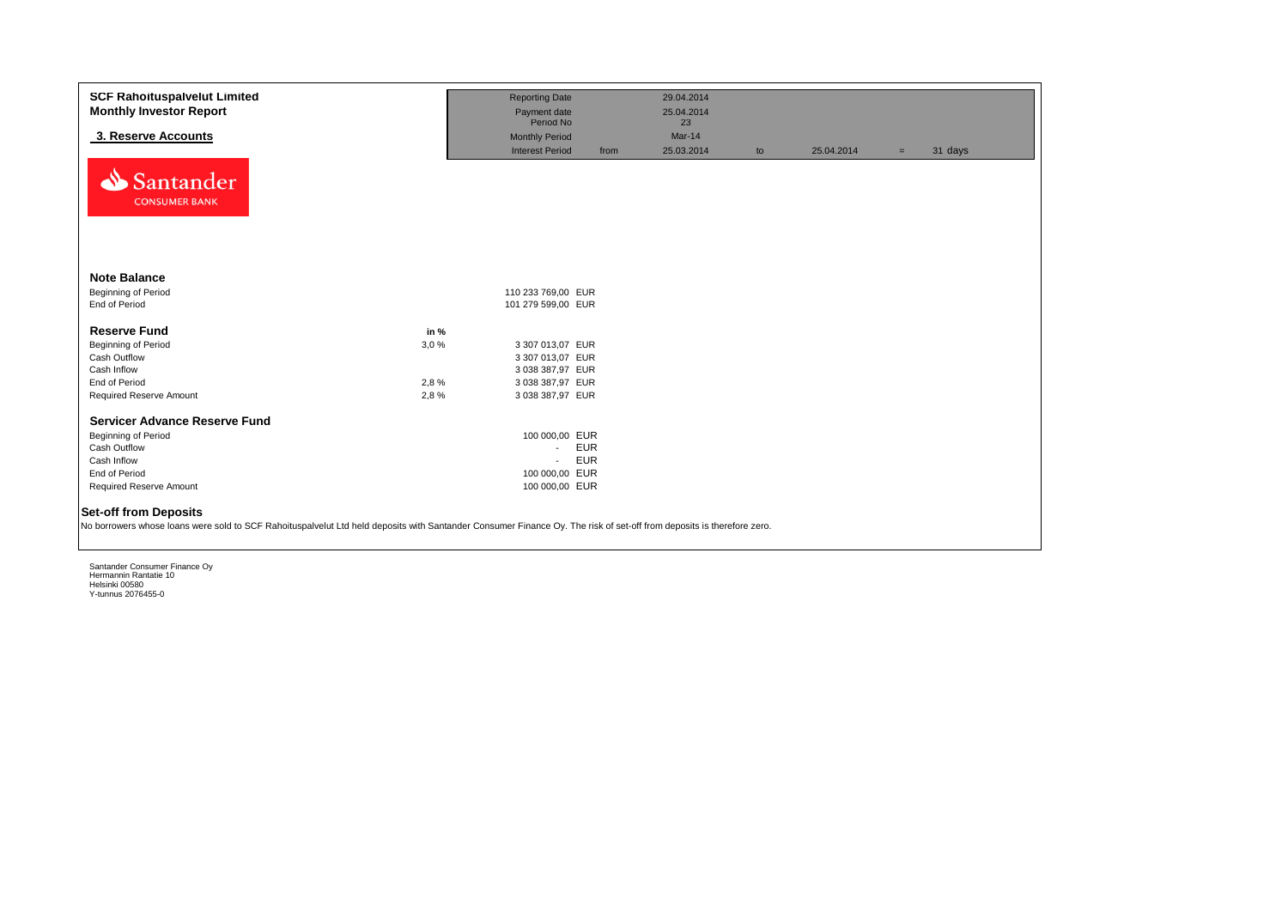| <b>SCF Rahoituspalvelut Limited</b><br><b>Monthly Investor Report</b><br>3. Reserve Accounts                                                                                                          |      | <b>Reporting Date</b><br>Payment date<br>Period No<br><b>Monthly Period</b> |            | 29.04.2014<br>25.04.2014<br>23<br>Mar-14 |    |            |     |         |  |
|-------------------------------------------------------------------------------------------------------------------------------------------------------------------------------------------------------|------|-----------------------------------------------------------------------------|------------|------------------------------------------|----|------------|-----|---------|--|
| Santander<br><b>CONSUMER BANK</b>                                                                                                                                                                     |      | <b>Interest Period</b>                                                      | from       | 25.03.2014                               | to | 25.04.2014 | $=$ | 31 days |  |
| <b>Note Balance</b>                                                                                                                                                                                   |      |                                                                             |            |                                          |    |            |     |         |  |
| <b>Beginning of Period</b><br>End of Period                                                                                                                                                           |      | 110 233 769,00 EUR<br>101 279 599,00 EUR                                    |            |                                          |    |            |     |         |  |
| <b>Reserve Fund</b>                                                                                                                                                                                   | in % |                                                                             |            |                                          |    |            |     |         |  |
| <b>Beginning of Period</b>                                                                                                                                                                            | 3,0% | 3 307 013,07 EUR                                                            |            |                                          |    |            |     |         |  |
| Cash Outflow                                                                                                                                                                                          |      | 3 307 013,07 EUR                                                            |            |                                          |    |            |     |         |  |
| Cash Inflow                                                                                                                                                                                           |      | 3 038 387,97 EUR                                                            |            |                                          |    |            |     |         |  |
| End of Period                                                                                                                                                                                         | 2,8% | 3 038 387,97 EUR                                                            |            |                                          |    |            |     |         |  |
| Required Reserve Amount                                                                                                                                                                               | 2,8% | 3 038 387,97 EUR                                                            |            |                                          |    |            |     |         |  |
| Servicer Advance Reserve Fund                                                                                                                                                                         |      |                                                                             |            |                                          |    |            |     |         |  |
| Beginning of Period                                                                                                                                                                                   |      | 100 000,00 EUR                                                              |            |                                          |    |            |     |         |  |
| Cash Outflow                                                                                                                                                                                          |      | $\sim$                                                                      | <b>EUR</b> |                                          |    |            |     |         |  |
| Cash Inflow                                                                                                                                                                                           |      |                                                                             | <b>EUR</b> |                                          |    |            |     |         |  |
| End of Period                                                                                                                                                                                         |      | 100 000,00 EUR                                                              |            |                                          |    |            |     |         |  |
| Required Reserve Amount                                                                                                                                                                               |      | 100 000,00 EUR                                                              |            |                                          |    |            |     |         |  |
| <b>Set-off from Deposits</b><br>No borrowers whose loans were sold to SCF Rahoituspalvelut Ltd held deposits with Santander Consumer Finance Oy. The risk of set-off from deposits is therefore zero. |      |                                                                             |            |                                          |    |            |     |         |  |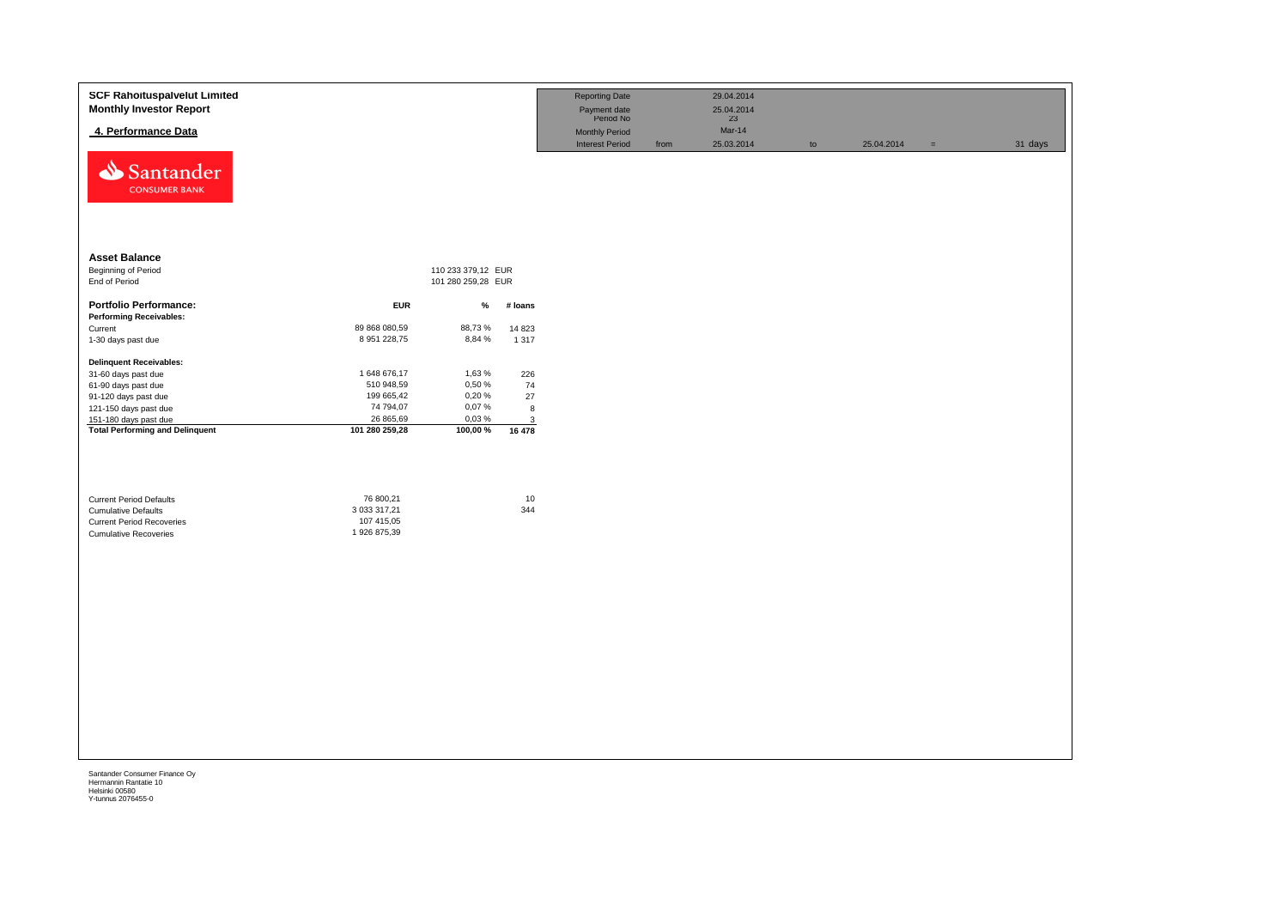| <b>SCF Rahoituspalvelut Limited</b><br><b>Monthly Investor Report</b>                                                            |                                                        |                    |                    | <b>Reporting Date</b><br>Payment date<br>Period No |      | 29.04.2014<br>25.04.2014<br>23 |    |            |     |         |
|----------------------------------------------------------------------------------------------------------------------------------|--------------------------------------------------------|--------------------|--------------------|----------------------------------------------------|------|--------------------------------|----|------------|-----|---------|
| 4. Performance Data                                                                                                              |                                                        |                    |                    | <b>Monthly Period</b>                              |      | Mar-14                         |    |            |     |         |
| Santander<br><b>CONSUMER BANK</b>                                                                                                |                                                        |                    |                    | <b>Interest Period</b>                             | from | 25.03.2014                     | to | 25.04.2014 | $=$ | 31 days |
| <b>Asset Balance</b><br>Beginning of Period                                                                                      |                                                        | 110 233 379,12 EUR |                    |                                                    |      |                                |    |            |     |         |
| End of Period                                                                                                                    |                                                        | 101 280 259,28 EUR |                    |                                                    |      |                                |    |            |     |         |
| <b>Portfolio Performance:</b><br><b>Performing Receivables:</b>                                                                  | <b>EUR</b>                                             | $\%$               | # loans            |                                                    |      |                                |    |            |     |         |
| Current<br>1-30 days past due                                                                                                    | 89 868 080,59<br>8 951 228,75                          | 88,73%<br>8,84 %   | 14 8 23<br>1 3 1 7 |                                                    |      |                                |    |            |     |         |
| <b>Delinquent Receivables:</b>                                                                                                   |                                                        |                    |                    |                                                    |      |                                |    |            |     |         |
| 31-60 days past due                                                                                                              | 1 648 676,17                                           | 1,63%              | 226                |                                                    |      |                                |    |            |     |         |
| 61-90 days past due                                                                                                              | 510 948,59                                             | 0,50%              | 74                 |                                                    |      |                                |    |            |     |         |
| 91-120 days past due                                                                                                             | 199 665,42                                             | 0,20%              | 27                 |                                                    |      |                                |    |            |     |         |
| 121-150 days past due<br>151-180 days past due                                                                                   | 74 794,07<br>26 865,69                                 | 0,07%<br>0,03%     | 8<br>$\mathbf{3}$  |                                                    |      |                                |    |            |     |         |
| <b>Total Performing and Delinquent</b>                                                                                           | 101 280 259,28                                         | 100,00%            | 16 478             |                                                    |      |                                |    |            |     |         |
| <b>Current Period Defaults</b><br><b>Cumulative Defaults</b><br><b>Current Period Recoveries</b><br><b>Cumulative Recoveries</b> | 76 800,21<br>3 033 317,21<br>107 415,05<br>1926 875,39 |                    | $10$<br>344        |                                                    |      |                                |    |            |     |         |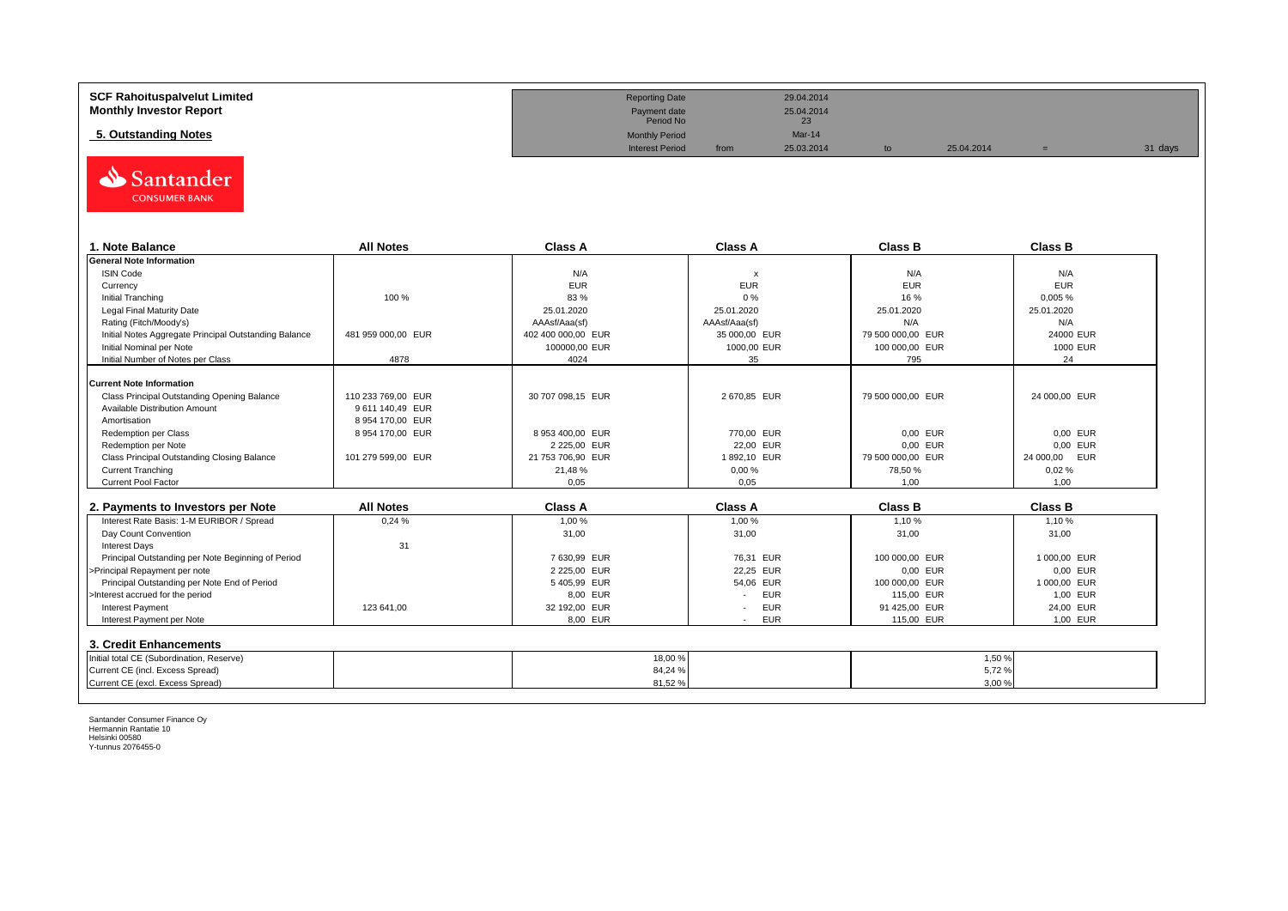| <b>SCF Rahoituspalvelut Limited</b> | <b>Reporting Date</b>     |      | 29.04.2014       |            |         |
|-------------------------------------|---------------------------|------|------------------|------------|---------|
| <b>Monthly Investor Report</b>      | Payment date<br>Period No |      | 25.04.2014<br>23 |            |         |
| 5. Outstanding Notes                | <b>Monthly Period</b>     |      | Mar-14           |            |         |
|                                     | <b>Interest Period</b>    | from | 25.03.2014       | 25.04.2014 | 31 days |



| . Note Balance                                        | <b>All Notes</b>   | <b>Class A</b>     | <b>Class A</b>            | <b>Class B</b>    | <b>Class B</b>   |
|-------------------------------------------------------|--------------------|--------------------|---------------------------|-------------------|------------------|
| <b>General Note Information</b>                       |                    |                    |                           |                   |                  |
| <b>ISIN Code</b>                                      |                    | N/A                | $\boldsymbol{\mathsf{x}}$ | N/A               | N/A              |
| Currency                                              |                    | <b>EUR</b>         | <b>EUR</b>                | <b>EUR</b>        | <b>EUR</b>       |
| Initial Tranching                                     | 100 %              | 83%                | 0%                        | 16 %              | 0,005%           |
| Legal Final Maturity Date                             |                    | 25.01.2020         | 25.01.2020                | 25.01.2020        | 25.01.2020       |
| Rating (Fitch/Moody's)                                |                    | AAAsf/Aaa(sf)      | AAAsf/Aaa(sf)             | N/A               | N/A              |
| Initial Notes Aggregate Principal Outstanding Balance | 481 959 000,00 EUR | 402 400 000,00 EUR | 35 000,00 EUR             | 79 500 000,00 EUR | 24000 EUR        |
| Initial Nominal per Note                              |                    | 100000.00 EUR      | 1000,00 EUR               | 100 000,00 EUR    | 1000 EUR         |
| Initial Number of Notes per Class                     | 4878               | 4024               | 35                        | 795               | 24               |
|                                                       |                    |                    |                           |                   |                  |
| <b>Current Note Information</b>                       |                    |                    |                           |                   |                  |
| Class Principal Outstanding Opening Balance           | 110 233 769.00 EUR | 30 707 098,15 EUR  | 2 670,85 EUR              | 79 500 000,00 EUR | 24 000,00 EUR    |
| Available Distribution Amount                         | 9611 140,49 EUR    |                    |                           |                   |                  |
| Amortisation                                          | 8 954 170.00 EUR   |                    |                           |                   |                  |
| Redemption per Class                                  | 8 954 170.00 EUR   | 8 953 400.00 EUR   | 770.00 EUR                | 0.00 EUR          | 0,00 EUR         |
| Redemption per Note                                   |                    | 2 2 2 5 , 00 EUR   | 22,00 EUR                 | 0,00 EUR          | 0,00 EUR         |
| Class Principal Outstanding Closing Balance           | 101 279 599,00 EUR | 21 753 706,90 EUR  | 1892,10 EUR               | 79 500 000,00 EUR | EUR<br>24 000,00 |
| <b>Current Tranching</b>                              |                    | 21,48 %            | 0,00%                     | 78,50 %           | 0.02%            |
| Current Pool Factor                                   |                    | 0,05               | 0,05                      | 1,00              | 1,00             |

| 2. Payments to Investors per Note                  | <b>All Notes</b> | <b>Class A</b>  | <b>Class A</b>                         | <b>Class B</b> | <b>Class B</b> |
|----------------------------------------------------|------------------|-----------------|----------------------------------------|----------------|----------------|
| Interest Rate Basis: 1-M EURIBOR / Spread          | 0.24%            | 1.00 %          | 1.00 %                                 | 1.10%          | 1.10 %         |
| Day Count Convention                               |                  | 31,00           | 31,00                                  | 31,00          | 31,00          |
| <b>Interest Days</b>                               | 31               |                 |                                        |                |                |
| Principal Outstanding per Note Beginning of Period |                  | 7630.99 EUR     | 76.31 EUR                              | 100 000.00 EUR | 1 000.00 EUR   |
| >Principal Repayment per note                      |                  | 2 2 2 5 .00 EUR | 22.25 EUR                              | 0.00 EUR       | 0.00 EUR       |
| Principal Outstanding per Note End of Period       |                  | 5405.99 EUR     | 54.06 EUR                              | 100 000,00 EUR | 1 000.00 EUR   |
| >Interest accrued for the period                   |                  | 8.00 EUR        | <b>EUR</b>                             | 115.00 EUR     | 1.00 EUR       |
| <b>Interest Payment</b>                            | 123 641.00       | 32 192.00 EUR   | <b>EUR</b><br>$\overline{\phantom{a}}$ | 91 425,00 EUR  | 24.00 EUR      |
| Interest Payment per Note                          |                  | 8,00 EUR        | <b>EUR</b>                             | 115,00 EUR     | 1,00 EUR       |
| 3. Credit Enhancements                             |                  |                 |                                        |                |                |
| Initial total CE (Subordination, Reserve)          |                  | 18,00 %         |                                        |                | 1,50 %         |
| Current CE (incl. Excess Spread)                   |                  | 84,24 %         |                                        |                | 5,72 %         |
| Current CE (excl. Excess Spread)                   |                  | 81,52 %         |                                        |                | 3,00%          |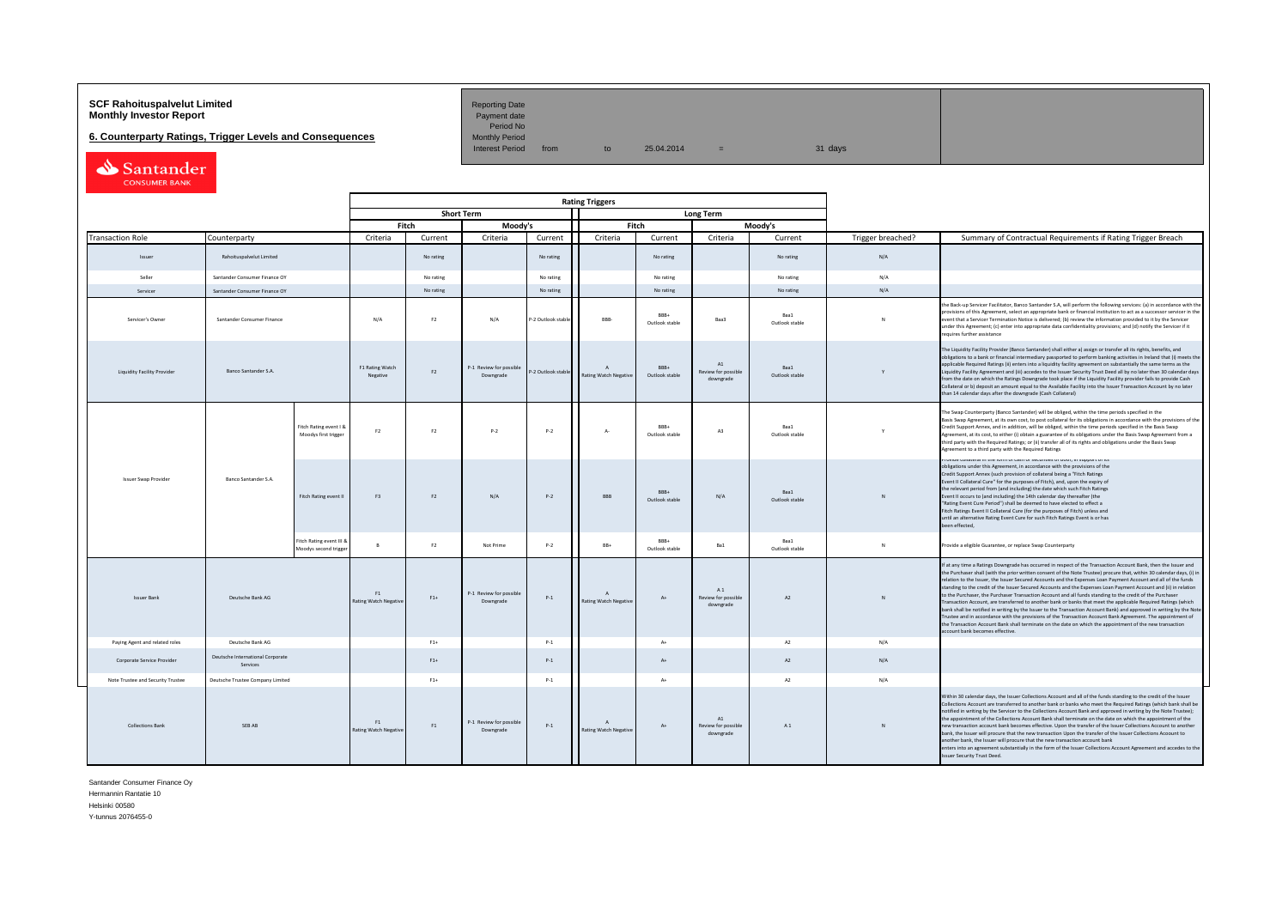# **SCF Rahoituspalvelut Limited Accord Reporting Date**<br>**Monthly Investor Report** Payment date **Payment date**

**6. Counterparty Ratings, Trigger Levels and Consequences** 

Period No<br>Monthly Period

Interest Period from to  $25.04.2014$  = 31 days

Santander

| <b>Rating Triggers</b>             |                                   |                                              |                                                   |                                    |                |                                      |                    |                                       |                        |                                        |                        |                   |                                                                                                                                                                                                                                                                                                                                                                                                                                                                                                                                                                                                                                                                                                                                                                                                                                                                                                                                                                                                                                                                                                      |
|------------------------------------|-----------------------------------|----------------------------------------------|---------------------------------------------------|------------------------------------|----------------|--------------------------------------|--------------------|---------------------------------------|------------------------|----------------------------------------|------------------------|-------------------|------------------------------------------------------------------------------------------------------------------------------------------------------------------------------------------------------------------------------------------------------------------------------------------------------------------------------------------------------------------------------------------------------------------------------------------------------------------------------------------------------------------------------------------------------------------------------------------------------------------------------------------------------------------------------------------------------------------------------------------------------------------------------------------------------------------------------------------------------------------------------------------------------------------------------------------------------------------------------------------------------------------------------------------------------------------------------------------------------|
|                                    |                                   |                                              |                                                   |                                    |                | <b>Short Term</b>                    |                    |                                       |                        | <b>Long Term</b>                       |                        |                   |                                                                                                                                                                                                                                                                                                                                                                                                                                                                                                                                                                                                                                                                                                                                                                                                                                                                                                                                                                                                                                                                                                      |
|                                    |                                   |                                              |                                                   |                                    | Fitch          | Moody's                              |                    |                                       | Fitch                  |                                        | Moody's                |                   |                                                                                                                                                                                                                                                                                                                                                                                                                                                                                                                                                                                                                                                                                                                                                                                                                                                                                                                                                                                                                                                                                                      |
|                                    | <b>Transaction Role</b>           | Counterparty                                 |                                                   | Criteria                           | Current        | Criteria                             | Current            | Criteria                              | Current                | Criteria                               | Current                | Trigger breached? | Summary of Contractual Requirements if Rating Trigger Breach                                                                                                                                                                                                                                                                                                                                                                                                                                                                                                                                                                                                                                                                                                                                                                                                                                                                                                                                                                                                                                         |
|                                    | Issuer                            | Rahoituspalvelut Limited                     |                                                   |                                    | No rating      |                                      | No rating          |                                       | No rating              |                                        | No rating              | N/A               |                                                                                                                                                                                                                                                                                                                                                                                                                                                                                                                                                                                                                                                                                                                                                                                                                                                                                                                                                                                                                                                                                                      |
|                                    | Seller                            | Santander Consumer Finance OY                |                                                   |                                    | No rating      |                                      | No rating          |                                       | No rating              |                                        | No rating              | N/A               |                                                                                                                                                                                                                                                                                                                                                                                                                                                                                                                                                                                                                                                                                                                                                                                                                                                                                                                                                                                                                                                                                                      |
|                                    | Servicer                          | Santander Consumer Finance OY                |                                                   |                                    | No rating      |                                      | No rating          |                                       | No rating              |                                        | No rating              | N/A               |                                                                                                                                                                                                                                                                                                                                                                                                                                                                                                                                                                                                                                                                                                                                                                                                                                                                                                                                                                                                                                                                                                      |
|                                    | Servicer's Owner                  | Santander Consumer Finance                   |                                                   | N/A                                | F <sub>2</sub> | N/A                                  | P-2 Outlook stabl  | BBB-                                  | RRR+<br>Outlook stable | Baa3                                   | Baa1<br>Outlook stable | $\mathbf{M}$      | the Back-up Servicer Facilitator, Banco Santander S.A, will perform the following services: (a) in accordance with th<br>provisions of this Agreement, select an appropriate bank or financial institution to act as a successor servicer in the<br>event that a Servicer Termination Notice is delivered; (b) review the information provided to it by the Servicer<br>under this Agreement; (c) enter into appropriate data confidentiality provisions; and (d) notify the Servicer if it<br>requires further assistance                                                                                                                                                                                                                                                                                                                                                                                                                                                                                                                                                                           |
| <b>Liquidity Facility Provider</b> |                                   | Banco Santander S.A.                         |                                                   | F1 Rating Watch<br>Negative        | F2             | P-1 Review for possible<br>Downgrade | P-2 Outlook stable | Rating Watch Negative                 | BBB+<br>Outlook stable | A1<br>teview for possible<br>downgrade | Baa1<br>Outlook stable | Y                 | The Liquidity Facility Provider (Banco Santander) shall either a) assign or transfer all its rights, benefits, and<br>obligations to a bank or financial intermediary passported to perform banking activities in Ireland that (i) meets the<br>applicable Required Ratings (ii) enters into a liquidity facility agreement on substantially the same terms as the<br>Liquidity Facility Agreement and (iii) accedes to the Issuer Security Trust Deed all by no later than 30 calendar days<br>from the date on which the Ratings Downgrade took place if the Liquidity Facility provider fails to provide Cash<br>Collateral or b) deposit an amount equal to the Available Facility into the Issuer Transaction Account by no later<br>than 14 calendar days after the downgrade (Cash Collateral)                                                                                                                                                                                                                                                                                                |
|                                    |                                   |                                              | Fitch Rating event I &<br>Moodys first trigger    | F <sub>2</sub>                     | F2             | $P-2$                                | $P-2$              | $A-$                                  | RRR+<br>Outlook stable | A3                                     | Baa1<br>Outlook stable |                   | The Swap Counterparty (Banco Santander) will be obliged, within the time periods specified in the<br>Basis Swap Agreement, at its own cost, to post collateral for its obligations in accordance with the provisions of the<br>Credit Support Annex, and in addition, will be obliged, within the time periods specified in the Basis Swap<br>Agreement, at its cost, to either (i) obtain a guarantee of its obligations under the Basis Swap Agreement from a<br>third party with the Required Ratings; or (ii) transfer all of its rights and obligations under the Basis Swap<br>Agreement to a third party with the Required Ratings                                                                                                                                                                                                                                                                                                                                                                                                                                                            |
|                                    | Issuer Swap Provider              | Banco Santander S.A.                         | Fitch Rating event II                             | F3                                 | F2             | N/A                                  | $P-2$              | <b>BBB</b>                            | RRR+<br>Outlook stable | N/A                                    | Baa1<br>Outlook stable | N                 | Froying condigrar in the form or cash or securities or poth, in support or its<br>obligations under this Agreement, in accordance with the provisions of the<br>Credit Support Annex (such provision of collateral being a "Fitch Ratings<br>Event II Collateral Cure" for the purposes of Fitch), and, upon the expiry of<br>the relevant period from (and including) the date which such Fitch Ratings<br>Event II occurs to (and including) the 14th calendar day thereafter (the<br>"Rating Event Cure Period") shall be deemed to have elected to effect a<br>Fitch Ratings Event II Collateral Cure (for the purposes of Fitch) unless and<br>until an alternative Rating Event Cure for such Fitch Ratings Event is or has<br>been effected,                                                                                                                                                                                                                                                                                                                                                  |
|                                    |                                   |                                              | Fitch Rating event III 8<br>Moodys second trigger | R                                  | F <sub>2</sub> | Not Prime                            | $P-2$              | RR+                                   | BBB+<br>Outlook stable | Ba1                                    | Baa1<br>Outlook stable | $\mathbf{N}$      | Provide a eligible Guarantee, or replace Swap Counterparty                                                                                                                                                                                                                                                                                                                                                                                                                                                                                                                                                                                                                                                                                                                                                                                                                                                                                                                                                                                                                                           |
|                                    | <b>Issuer Bank</b>                | Deutsche Bank AG                             |                                                   | F1<br><b>Rating Watch Negative</b> | $F1+$          | P-1 Review for possible<br>Downgrade | $P-1$              | $\Lambda$<br>Rating Watch Negative    | $A+$                   | A1<br>Review for possible<br>downgrade | A2                     | N                 | If at any time a Ratings Downgrade has occurred in respect of the Transaction Account Bank, then the Issuer and<br>the Purchaser shall (with the prior written consent of the Note Trustee) procure that, within 30 calendar days. (i) in<br>relation to the Issuer, the Issuer Secured Accounts and the Expenses Loan Payment Account and all of the funds<br>standing to the credit of the Issuer Secured Accounts and the Expenses Loan Payment Account and (ii) in relation<br>to the Purchaser, the Purchaser Transaction Account and all funds standing to the credit of the Purchaser<br>Transaction Account, are transferred to another bank or banks that meet the applicable Required Ratings (which<br>bank shall be notified in writing by the Issuer to the Transaction Account Bank) and approved in writing by the Note<br>Trustee and in accordance with the provisions of the Transaction Account Bank Agreement. The appointment of<br>the Transaction Account Bank shall terminate on the date on which the appointment of the new transaction<br>account bank becomes effective. |
|                                    | Paying Agent and related roles    | Deutsche Bank AG                             |                                                   |                                    | $F1+$          |                                      | $P-1$              |                                       | $A+$                   |                                        | A <sub>2</sub>         | N/A               |                                                                                                                                                                                                                                                                                                                                                                                                                                                                                                                                                                                                                                                                                                                                                                                                                                                                                                                                                                                                                                                                                                      |
|                                    | Corporate Service Provider        | Deutsche International Corporate<br>Services |                                                   |                                    | $F1+$          |                                      | $P-1$              |                                       | $A+$                   |                                        | A2                     | N/A               |                                                                                                                                                                                                                                                                                                                                                                                                                                                                                                                                                                                                                                                                                                                                                                                                                                                                                                                                                                                                                                                                                                      |
|                                    | Note Trustee and Security Trustee | Deutsche Trustee Company Limited             |                                                   |                                    | $F1+$          |                                      | $P-1$              |                                       | $A +$                  |                                        | A2                     | N/A               |                                                                                                                                                                                                                                                                                                                                                                                                                                                                                                                                                                                                                                                                                                                                                                                                                                                                                                                                                                                                                                                                                                      |
|                                    | <b>Collections Bank</b>           | SEB AB                                       |                                                   | F1<br>Rating Watch Negative        | $\mathsf{F1}$  | P-1 Review for possible<br>Downgrade | $P-1$              | $\mathbf{A}$<br>Rating Watch Negative | $A+$                   | A1<br>Review for possible<br>downgrade | A1                     | N                 | Within 30 calendar days, the Issuer Collections Account and all of the funds standing to the credit of the Issuer<br>Collections Account are transferred to another bank or banks who meet the Required Ratings (which bank shall be<br>notified in writing by the Servicer to the Collections Account Bank and approved in writing by the Note Trustee);<br>the appointment of the Collections Account Bank shall terminate on the date on which the appointment of the<br>new transaction account bank becomes effective. Upon the transfer of the Issuer Collections Account to another<br>bank, the Issuer will procure that the new transaction Upon the transfer of the Issuer Collections Acoount to<br>another bank, the Issuer will procure that the new transaction account bank<br>enters into an agreement substantially in the form of the Issuer Collections Account Agreement and accedes to the<br><b>Issuer Security Trust Deed.</b>                                                                                                                                                |

Santander Consumer Finance Oy Hermannin Rantatie 10

Helsinki 00580

Y-tunnus 2076455-0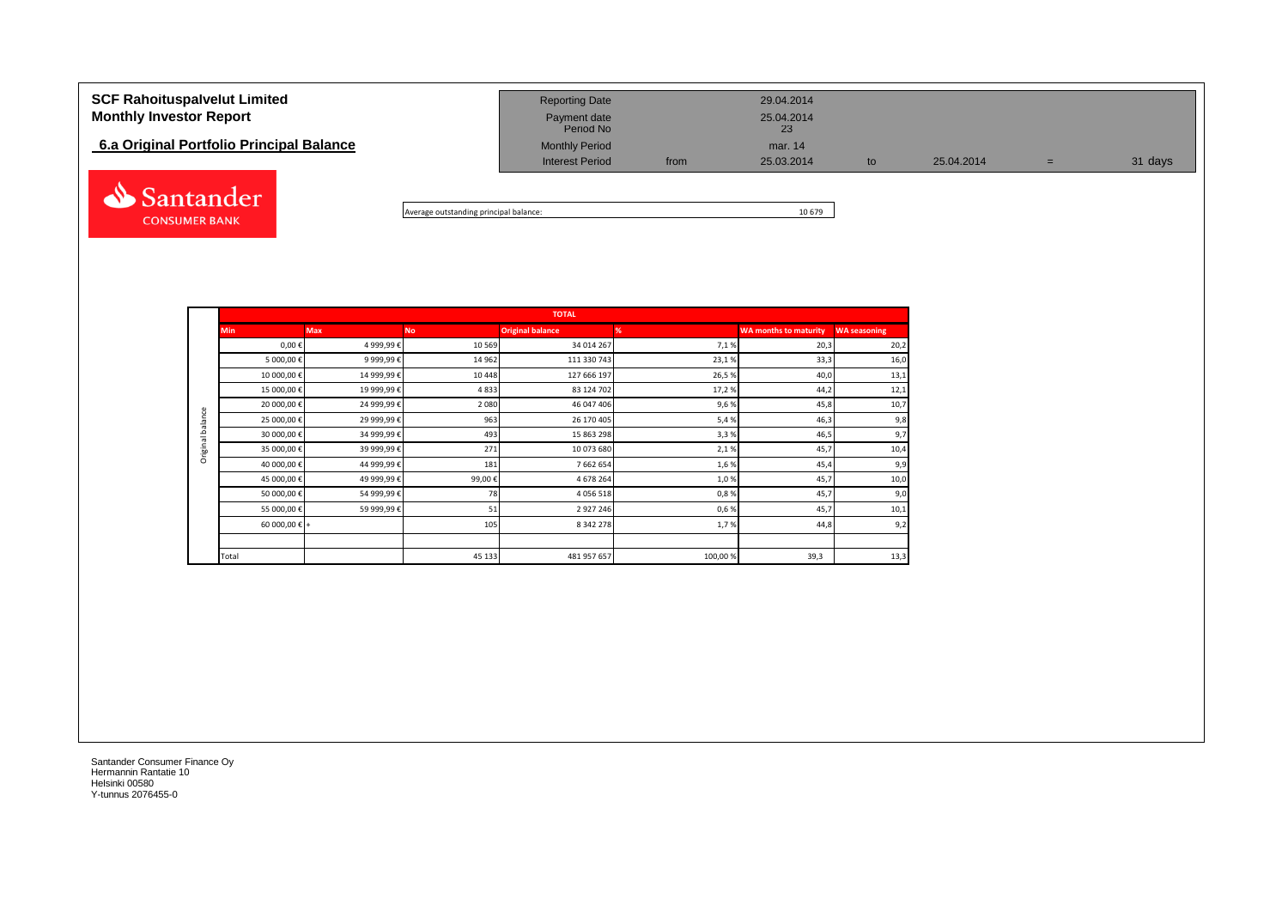# **SCF Rahoituspalvelut Limited** 29.04.2014 **Monthly Investor Report Payment date** 25.04.2014<br>Period No Payment date 25.04.2014 Payment date<br>Period No **6.a Original Portfolio Principal Balance** Monthly Period Monthly Period mar. 14 Interest Period from 25.03.2014 to 25.04.2014 = 31 days Santander

Average outstanding principal balance: 10 679

|                  | <b>TOTAL</b>           |             |           |                         |         |                              |                     |  |  |  |  |  |  |  |
|------------------|------------------------|-------------|-----------|-------------------------|---------|------------------------------|---------------------|--|--|--|--|--|--|--|
|                  | <b>Min</b>             | <b>Max</b>  | <b>No</b> | <b>Original balance</b> | %       | <b>WA months to maturity</b> | <b>WA seasoning</b> |  |  |  |  |  |  |  |
|                  | $0,00 \in$             | 4 999,99€   | 10 5 69   | 34 014 267              | 7,1%    | 20,3                         | 20,2                |  |  |  |  |  |  |  |
|                  | 5 000,00€              | 9 999,99€   | 14 962    | 111 330 743             | 23,1%   | 33,3                         | 16,0                |  |  |  |  |  |  |  |
|                  | 10 000,00€             | 14 999,99€  | 10 4 48   | 127 666 197             | 26,5%   | 40,0                         | 13,1                |  |  |  |  |  |  |  |
|                  | 15 000,00 €            | 19 999,99€  | 4833      | 83 124 702              | 17,2%   | 44,2                         | 12,1                |  |  |  |  |  |  |  |
|                  | 20 000,00 €            | 24 999,99€  | 2 0 8 0   | 46 047 406              | 9,6%    | 45,8                         | 10,7                |  |  |  |  |  |  |  |
| Original balance | 25 000,00 €            | 29 999,99€  | 963       | 26 170 405              | 5,4%    | 46,3                         | 9,8                 |  |  |  |  |  |  |  |
|                  | 30 000,00 €            | 34 999,99€  | 493       | 15 863 298              | 3,3%    | 46,5                         | 9,7                 |  |  |  |  |  |  |  |
|                  | 35 000,00 €            | 39 999,99€  | 271       | 10 073 680              | 2,1%    | 45,7                         | 10,4                |  |  |  |  |  |  |  |
|                  | 40 000,00 €            | 44 999,99 € | 181       | 7 662 654               | 1,6%    | 45,4                         | 9,9                 |  |  |  |  |  |  |  |
|                  | 45 000,00 €            | 49 999,99€  | 99,00€    | 4 678 264               | 1,0%    | 45,7                         | 10,0                |  |  |  |  |  |  |  |
|                  | 50 000,00 €            | 54 999,99€  | 78        | 4 0 5 6 5 1 8           | 0,8%    | 45,7                         | 9,0                 |  |  |  |  |  |  |  |
|                  | 55 000,00 €            | 59 999,99 € | 51        | 2 9 2 7 2 4 6           | 0,6%    | 45,7                         | 10,1                |  |  |  |  |  |  |  |
|                  | 60 000,00 $\epsilon$ + |             | 105       | 8 342 278               | 1,7%    | 44,8                         | 9,2                 |  |  |  |  |  |  |  |
|                  |                        |             |           |                         |         |                              |                     |  |  |  |  |  |  |  |
|                  | Total                  |             | 45 133    | 481 957 657             | 100,00% | 39,3                         | 13,3                |  |  |  |  |  |  |  |

Santander Consumer Finance Oy Hermannin Rantatie 10 Helsinki 00580 Y-tunnus 2076455-0

**CONSUMER BANK**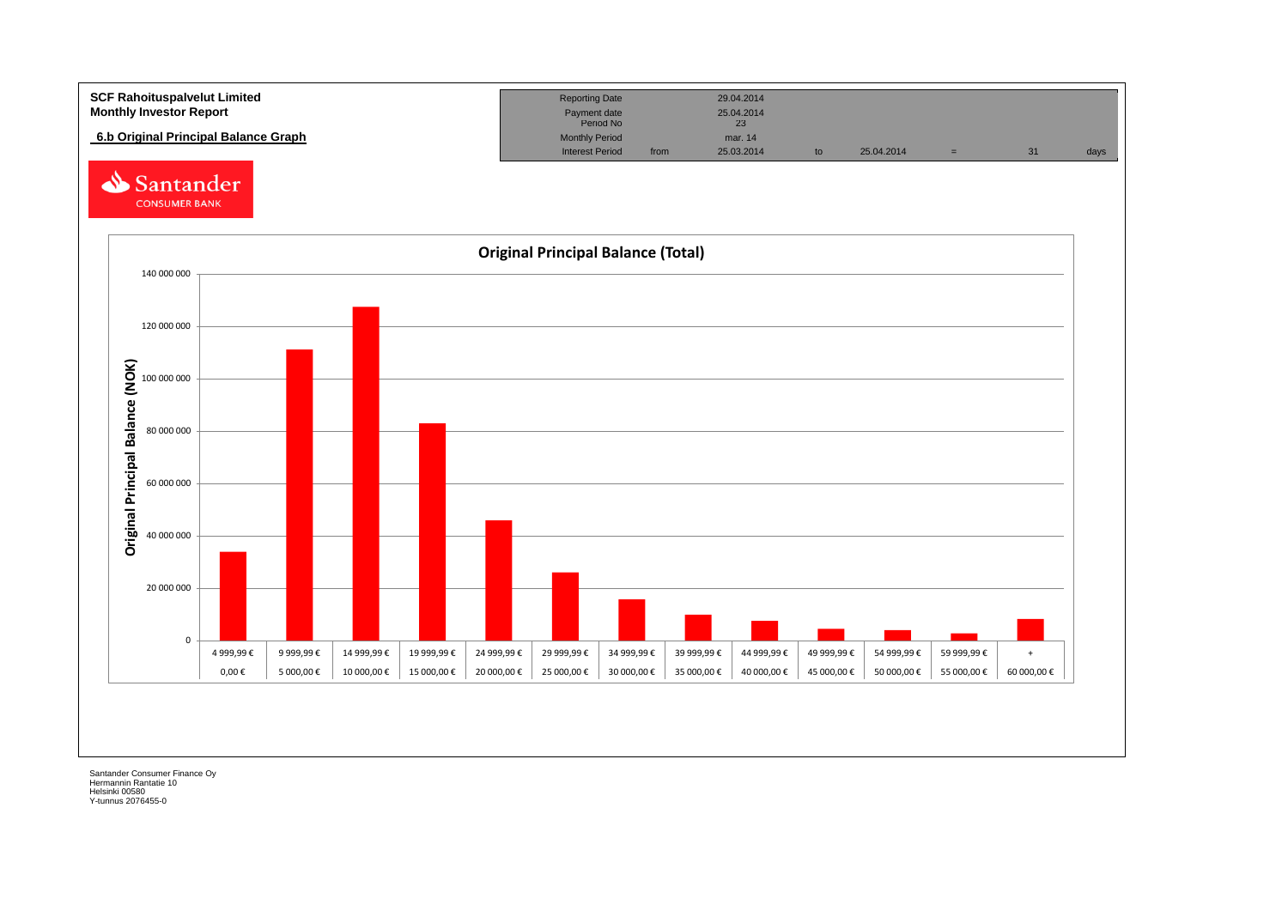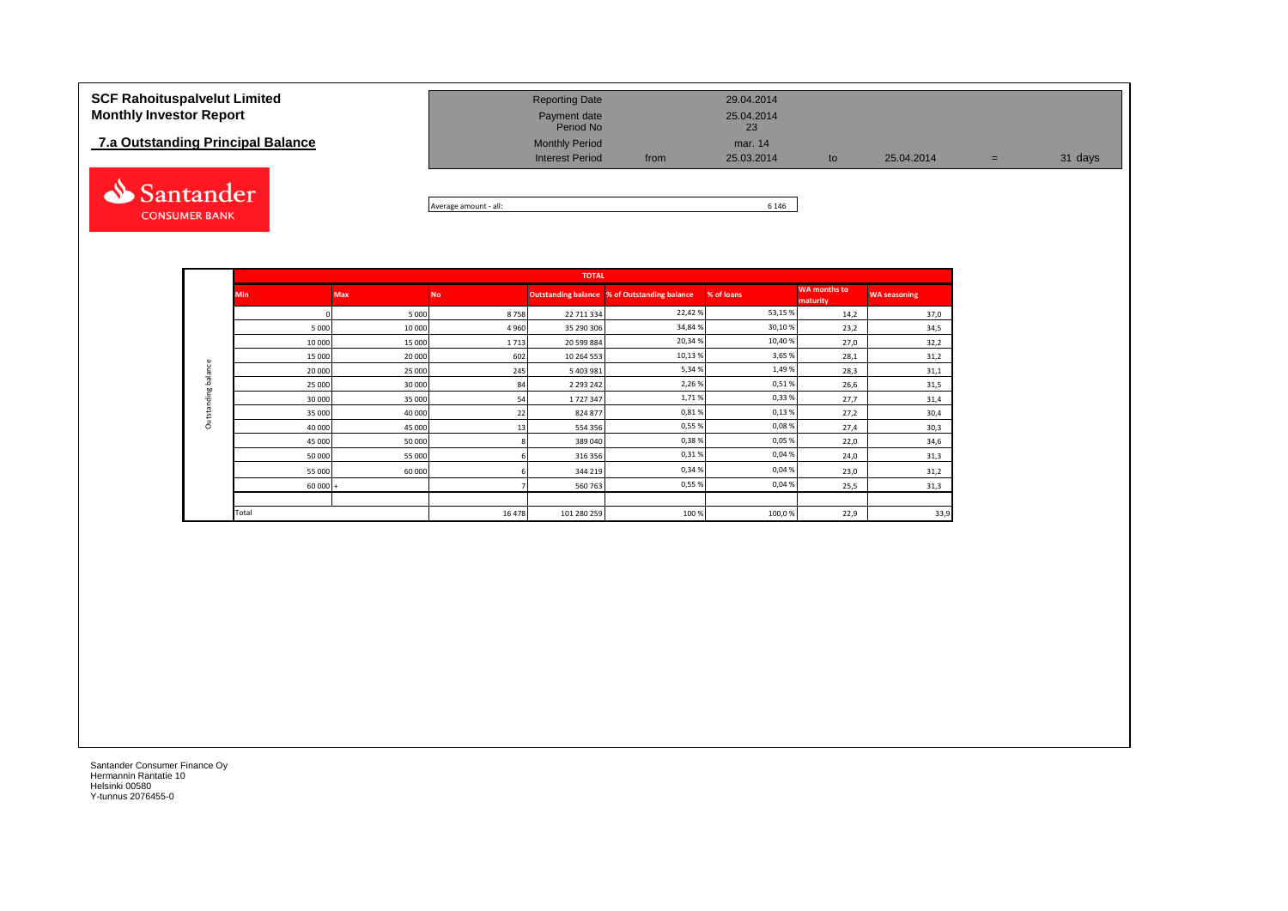## **7.a Outstanding Principal Balance**



| <b>SCF Rahoituspalvelut Limited</b><br><b>Monthly Investor Report</b> | <b>Reporting Date</b><br>Payment date<br>Period No |      | 29.04.2014<br>25.04.2014<br>23 |    |            |         |
|-----------------------------------------------------------------------|----------------------------------------------------|------|--------------------------------|----|------------|---------|
| 7.a Outstanding Principal Balance                                     | <b>Monthly Period</b><br><b>Interest Period</b>    | from | mar. 14<br>25.03.2014          | to | 25.04.2014 | 31 days |

Average amount - all: 6 146

|             |            |            |           | <b>TOTAL</b>  |                                              |            |                                 |                     |
|-------------|------------|------------|-----------|---------------|----------------------------------------------|------------|---------------------------------|---------------------|
|             | <b>Min</b> | <b>Max</b> | <b>No</b> |               | Outstanding balance % of Outstanding balance | % of loans | <b>WA months to</b><br>maturity | <b>WA seasoning</b> |
|             |            | 5 0 0 0    | 8758      | 22 711 334    | 22,42%                                       | 53,15%     | 14,2                            | 37,0                |
|             | 5 0 0 0    | 10 000     | 4 9 6 0   | 35 290 306    | 34,84%                                       | 30,10%     | 23,2                            | 34,5                |
|             | 10 000     | 15 000     | 1713      | 20 599 884    | 20,34%                                       | 10,40%     | 27,0                            | 32,2                |
|             | 15 000     | 20 000     | 602       | 10 264 553    | 10,13%                                       | 3,65 %     | 28,1                            | 31,2                |
| balance     | 20 000     | 25 000     | 245       | 5 403 981     | 5,34%                                        | 1,49%      | 28,3                            | 31,1                |
|             | 25 000     | 30 000     | 84        | 2 2 9 3 2 4 2 | 2,26%                                        | 0,51%      | 26,6                            | 31,5                |
| Outstanding | 30 000     | 35 000     | 54        | 1727347       | 1,71%                                        | 0,33%      | 27,7                            | 31,4                |
|             | 35 000     | 40 000     | 22        | 824 877       | 0,81%                                        | 0,13%      | 27,2                            | 30,4                |
|             | 40 000     | 45 000     | 13        | 554 356       | 0,55%                                        | 0,08%      | 27,4                            | 30,3                |
|             | 45 000     | 50 000     |           | 389 040       | 0,38%                                        | 0,05%      | 22,0                            | 34,6                |
|             | 50 000     | 55 000     |           | 316 356       | 0,31%                                        | 0,04%      | 24,0                            | 31,3                |
|             | 55 000     | 60 000     |           | 344 219       | 0,34%                                        | 0,04%      | 23,0                            | 31,2                |
|             | $60000 +$  |            |           | 560 763       | 0,55%                                        | 0,04%      | 25,5                            | 31,3                |
|             |            |            |           |               |                                              |            |                                 |                     |
|             | Total      |            | 16 478    | 101 280 259   | 100 %                                        | 100,0%     | 22,9                            | 33,9                |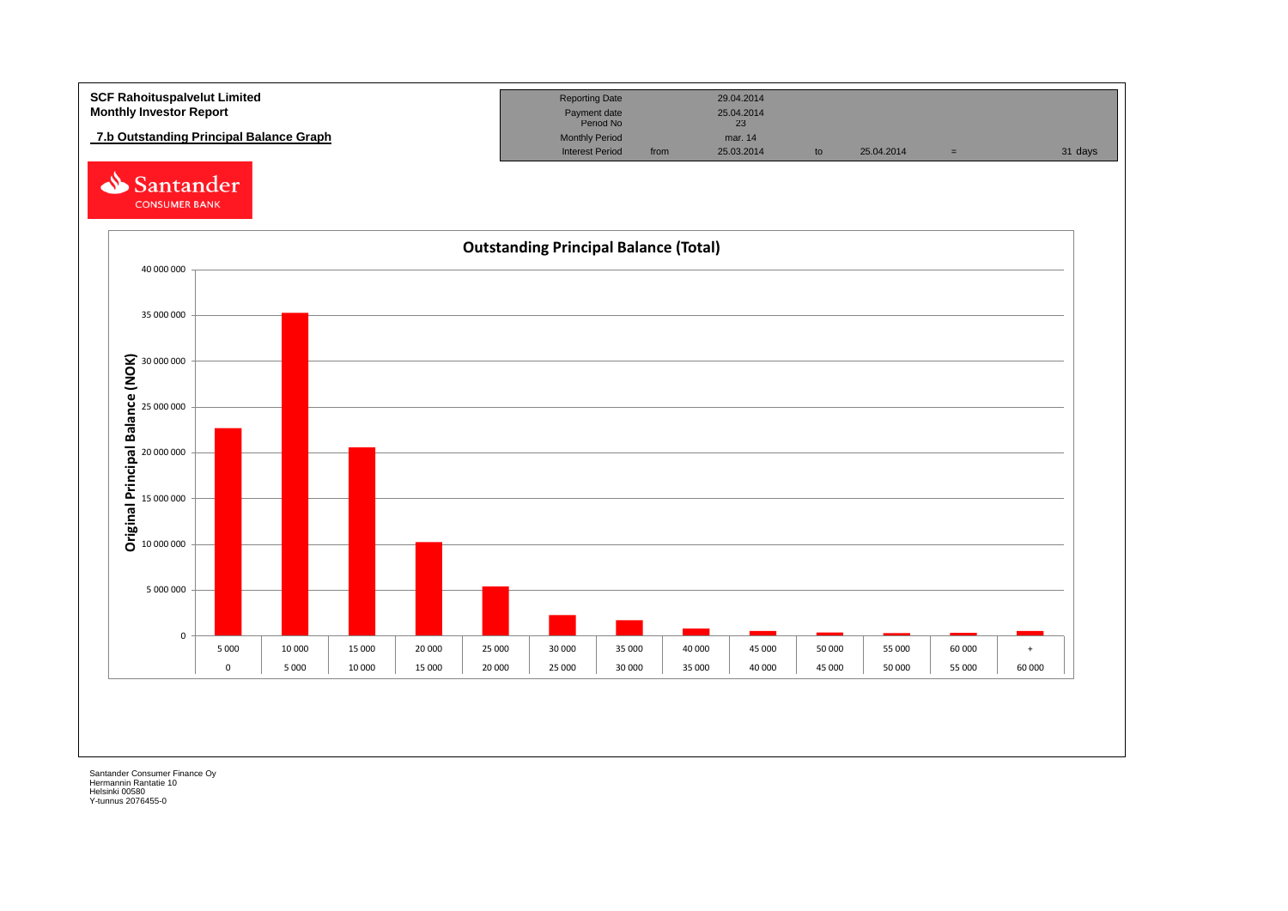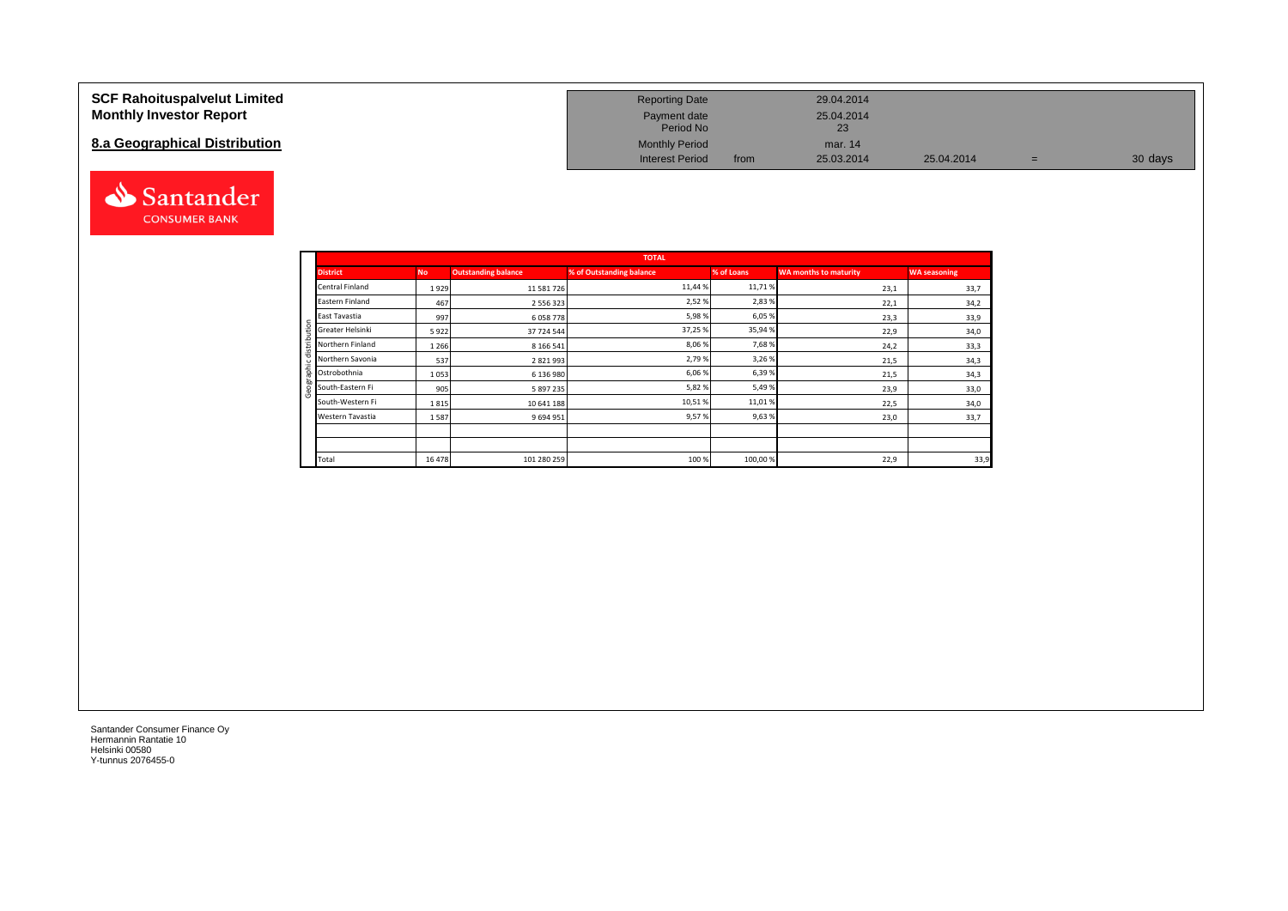## **SCF Rahoituspalvelut Limited Monthly Investor Report**

## **8.a Geographical Distribution**



| <b>Reporting Date</b>     |      | 29.04.2014       |            |   |         |
|---------------------------|------|------------------|------------|---|---------|
| Payment date<br>Period No |      | 25.04.2014<br>23 |            |   |         |
| <b>Monthly Period</b>     |      | mar. 14          |            |   |         |
| <b>Interest Period</b>    | from | 25.03.2014       | 25.04.2014 | = | 30 days |

|   |                  |           |                            | <b>TOTAL</b>             |            |                       |                     |
|---|------------------|-----------|----------------------------|--------------------------|------------|-----------------------|---------------------|
|   | <b>District</b>  | <b>No</b> | <b>Outstanding balance</b> | % of Outstanding balance | % of Loans | WA months to maturity | <b>WA seasoning</b> |
|   | Central Finland  | 1929      | 11 581 726                 | 11,44%                   | 11,71%     | 23,1                  | 33,7                |
|   | Eastern Finland  | 467       | 2 556 323                  | 2,52%                    | 2,83%      | 22,1                  | 34,2                |
|   | East Tavastia    | 997       | 6058778                    | 5,98%                    | 6,05 %     | 23,3                  | 33,9                |
| Ξ | Greater Helsinki | 5922      | 37 724 544                 | 37,25%                   | 35,94 %    | 22,9                  | 34,0                |
| ݠ | Northern Finland | 1 2 6 6   | 8 166 541                  | 8,06%                    | 7,68%      | 24,2                  | 33,3                |
|   | Northern Savonia | 537       | 2 821 993                  | 2,79%                    | 3,26 %     | 21,5                  | 34,3                |
|   | Ostrobothnia     | 1053      | 6 136 980                  | 6,06%                    | 6,39%      | 21,5                  | 34,3                |
|   | South-Eastern Fi | 905       | 5 897 235                  | 5,82%                    | 5,49%      | 23,9                  | 33,0                |
|   | South-Western Fi | 1815      | 10 641 188                 | 10,51%                   | 11,01%     | 22,5                  | 34,0                |
|   | Western Tavastia | 1587      | 9694951                    | 9,57%                    | 9,63%      | 23,0                  | 33,7                |
|   |                  |           |                            |                          |            |                       |                     |
|   |                  |           |                            |                          |            |                       |                     |
|   | Total            | 16 478    | 101 280 259                | 100%                     | 100,00%    | 22,9                  | 33,9                |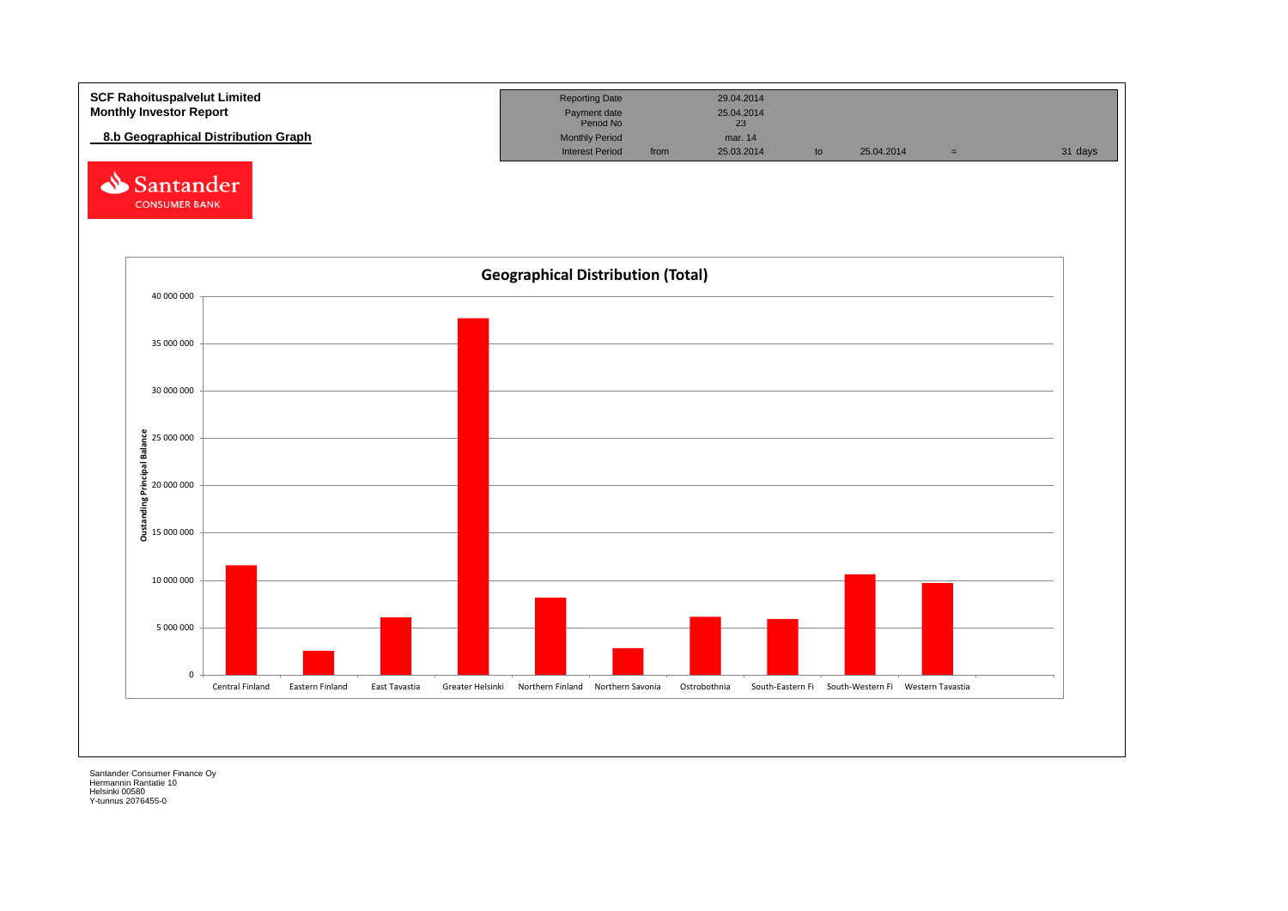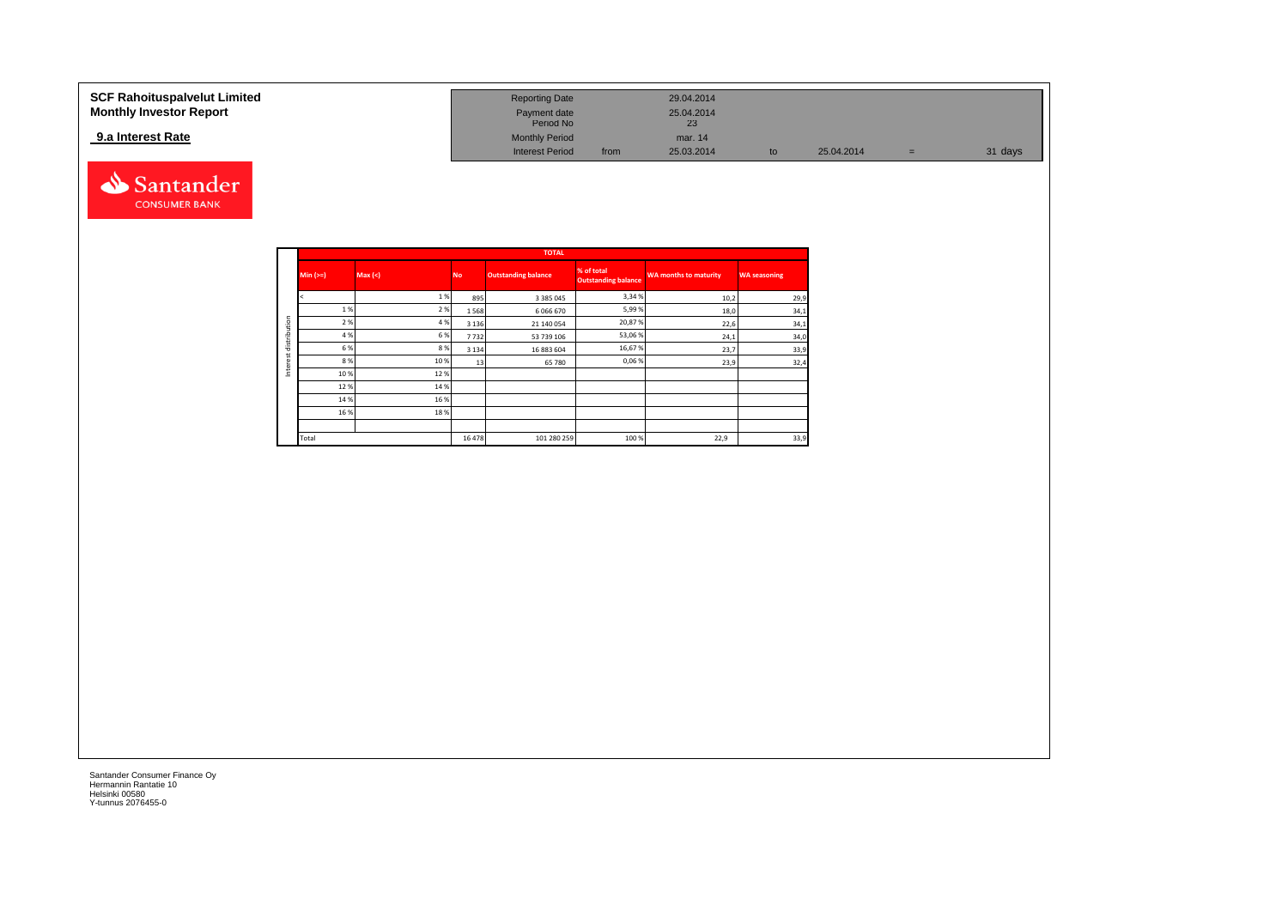### **SCF Rahoituspalvelut Limited Reporting Date 29.04.2014 Reporting Date 29.04.2014 Monthly Investor Report Payment date 25.04.2014 Payment date 25.04.2014** Payment date 25.04.2014<br>Period No 23 **9.a Interest Rate 14 Monthly Period** mar. 14<br> **14 Interest Period** from **15.03.2014 Interest Period** from **15.03.2014** Interest Period from 25.03.2014 to 25.04.2014 = 31 days



|              |            |         |           | <b>TOTAL</b>               |                                          |                              |                     |
|--------------|------------|---------|-----------|----------------------------|------------------------------------------|------------------------------|---------------------|
|              | Min $(>=)$ | Max (<) | <b>No</b> | <b>Outstanding balance</b> | % of total<br><b>Outstanding balance</b> | <b>WA months to maturity</b> | <b>WA seasoning</b> |
|              |            | 1%      | 895       | 3 3 8 5 0 4 5              | 3,34 %                                   | 10,2                         | 29,9                |
|              | 1 %        | 2 %     | 1568      | 6 0 6 6 7 0                | 5,99%                                    | 18,0                         | 34,1                |
|              | 2 %        | 4 %     | 3 1 3 6   | 21 140 054                 | 20,87%                                   | 22,6                         | 34,1                |
| distribution | 4 %        | 6 %     | 7732      | 53 739 106                 | 53,06%                                   | 24,1                         | 34,0                |
|              | 6 %        | 8%      | 3 1 3 4   | 16 883 604                 | 16,67%                                   | 23,7                         | 33,9                |
|              | 8%         | 10%     | 13        | 65 780                     | 0,06%                                    | 23,9                         | 32,4                |
| Interest     | 10%        | 12%     |           |                            |                                          |                              |                     |
|              | 12%        | 14 %    |           |                            |                                          |                              |                     |
|              | 14 %       | 16%     |           |                            |                                          |                              |                     |
|              | 16%        | 18%     |           |                            |                                          |                              |                     |
|              |            |         |           |                            |                                          |                              |                     |
|              | Total      |         | 16 478    | 101 280 259                | 100 %                                    | 22,9                         | 33,9                |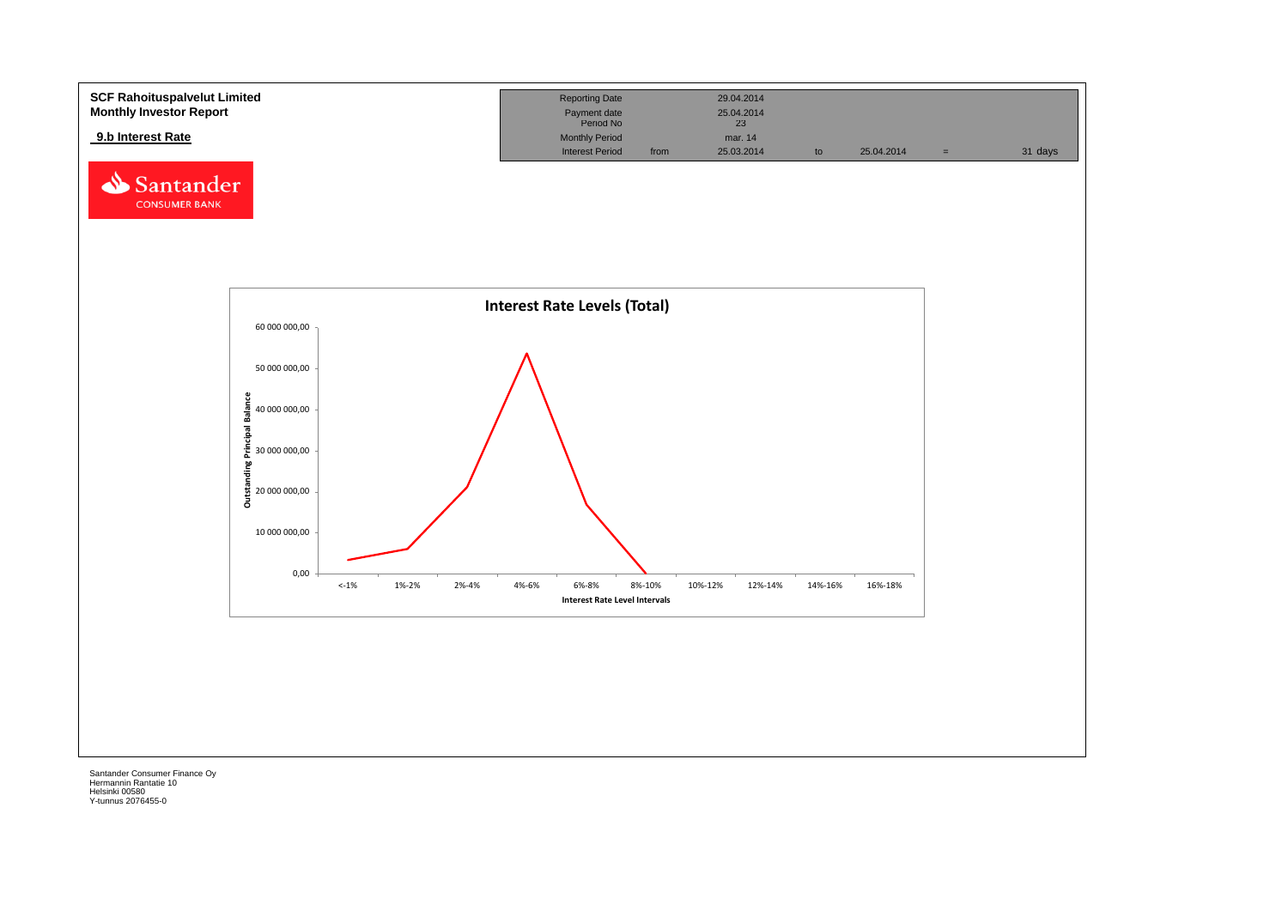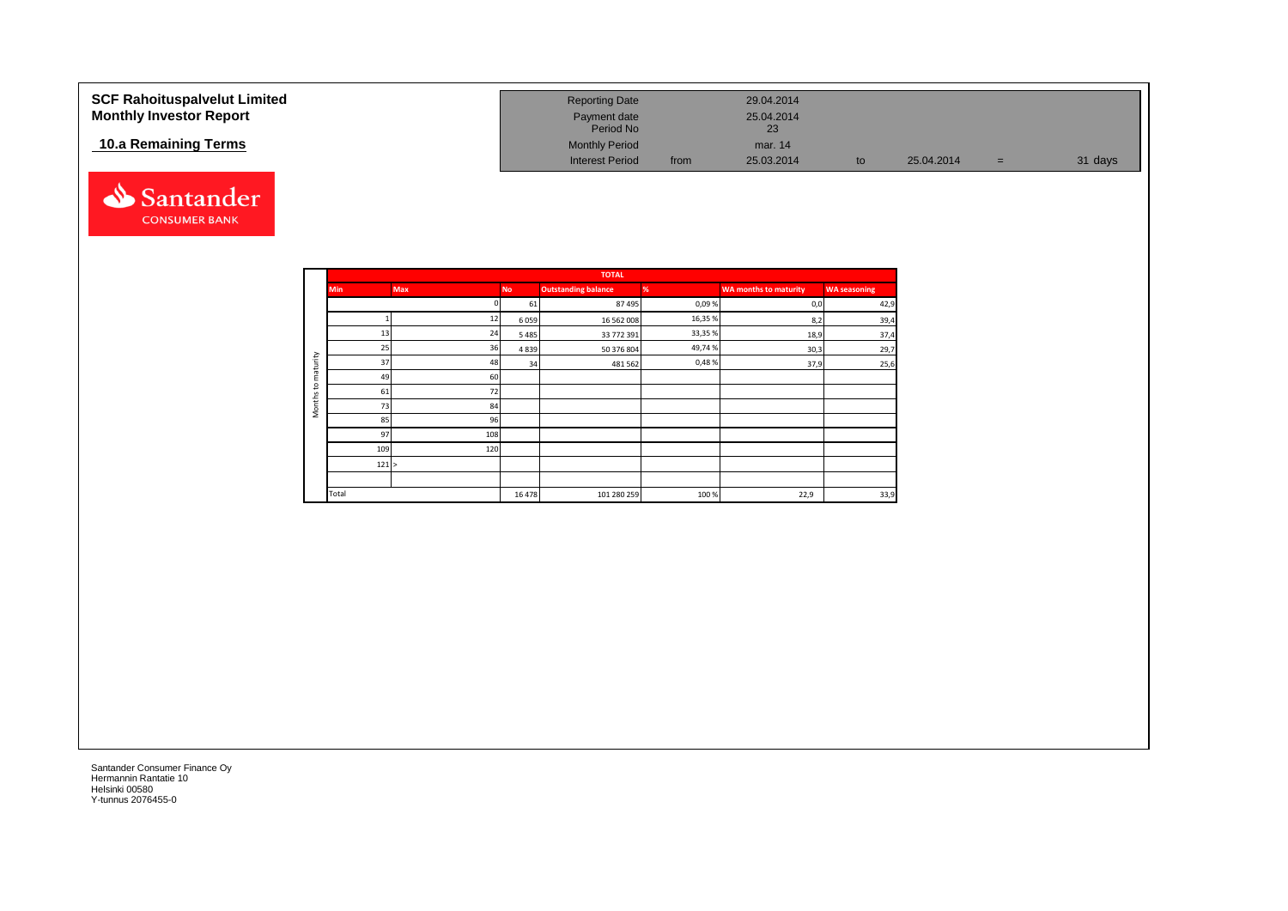| <b>SCF Rahoituspalvelut Limited</b> | <b>Reporting Date</b>     |      | 29.04.2014       |    |            |     |         |
|-------------------------------------|---------------------------|------|------------------|----|------------|-----|---------|
| <b>Monthly Investor Report</b>      | Payment date<br>Period No |      | 25.04.2014<br>23 |    |            |     |         |
| 10.a Remaining Terms                | <b>Monthly Period</b>     |      | mar. 14          |    |            |     |         |
|                                     | <b>Interest Period</b>    | from | 25.03.2014       | to | 25.04.2014 | $=$ | 31 days |



|                     |            |            |           | <b>TOTAL</b>               |        |                              |                     |
|---------------------|------------|------------|-----------|----------------------------|--------|------------------------------|---------------------|
|                     | <b>Min</b> | <b>Max</b> | <b>No</b> | <b>Outstanding balance</b> | %      | <b>WA months to maturity</b> | <b>WA seasoning</b> |
|                     |            |            | 61        | 87 495                     | 0,09%  | 0,0                          | 42,9                |
|                     |            | 12         | 6059      | 16 562 008                 | 16,35% | 8,2                          | 39,4                |
|                     | 13         | 24         | 5485      | 33 772 391                 | 33,35% | 18,9                         | 37,4                |
|                     | 25         | 36         | 4839      | 50 376 804                 | 49,74% | 30,3                         | 29,7                |
| maturity            | 37         | 48         | 34        | 481 562                    | 0,48%  | 37,9                         | 25,6                |
|                     | 49         | 60         |           |                            |        |                              |                     |
| $\mathbf{c}$        | 61         | 72         |           |                            |        |                              |                     |
| Months <sup>-</sup> | 73         | 84         |           |                            |        |                              |                     |
|                     | 85         | 96         |           |                            |        |                              |                     |
|                     | 97         | 108        |           |                            |        |                              |                     |
|                     | 109        | 120        |           |                            |        |                              |                     |
|                     | 121 >      |            |           |                            |        |                              |                     |
|                     |            |            |           |                            |        |                              |                     |
|                     | Total      |            | 16 478    | 101 280 259                | 100%   | 22,9                         | 33,9                |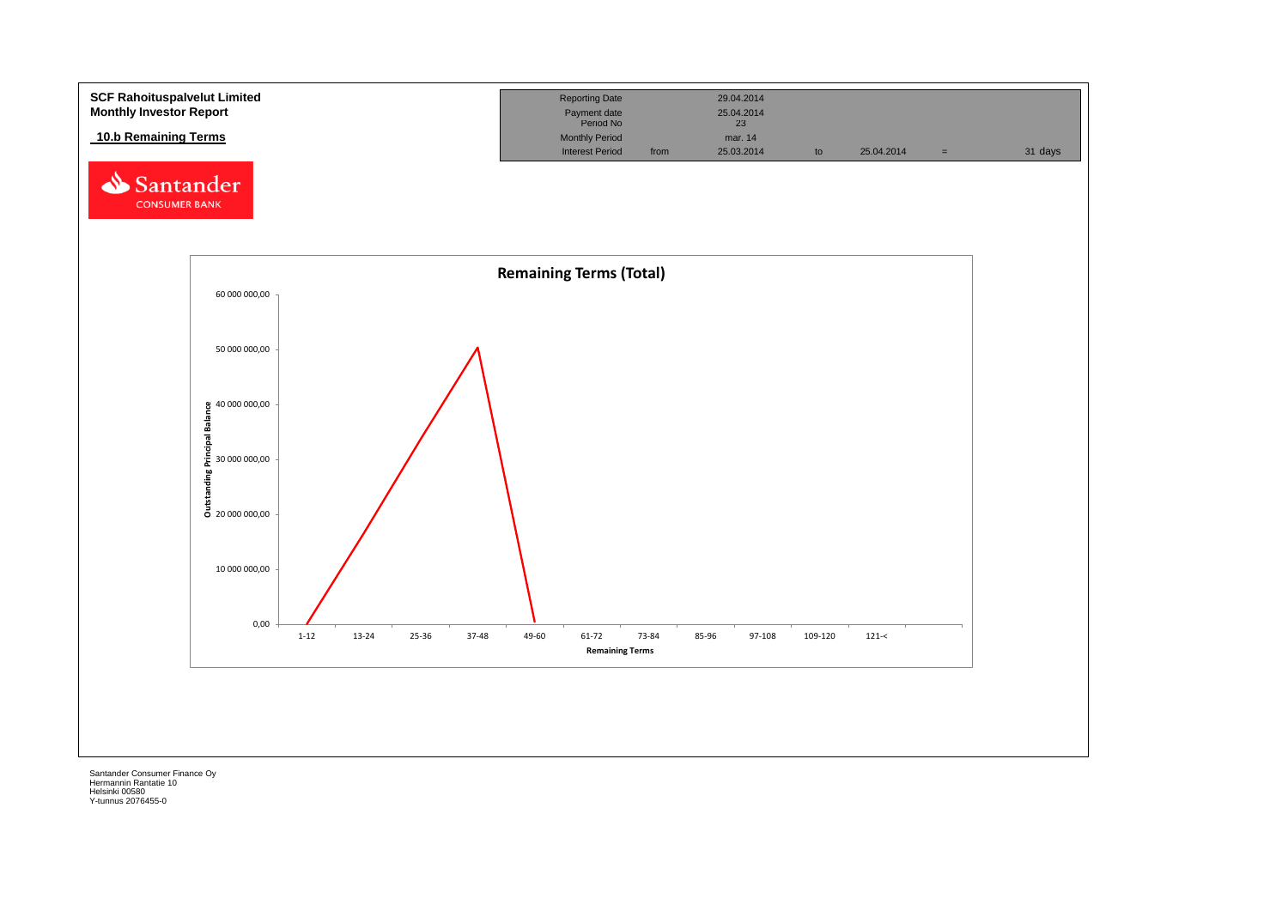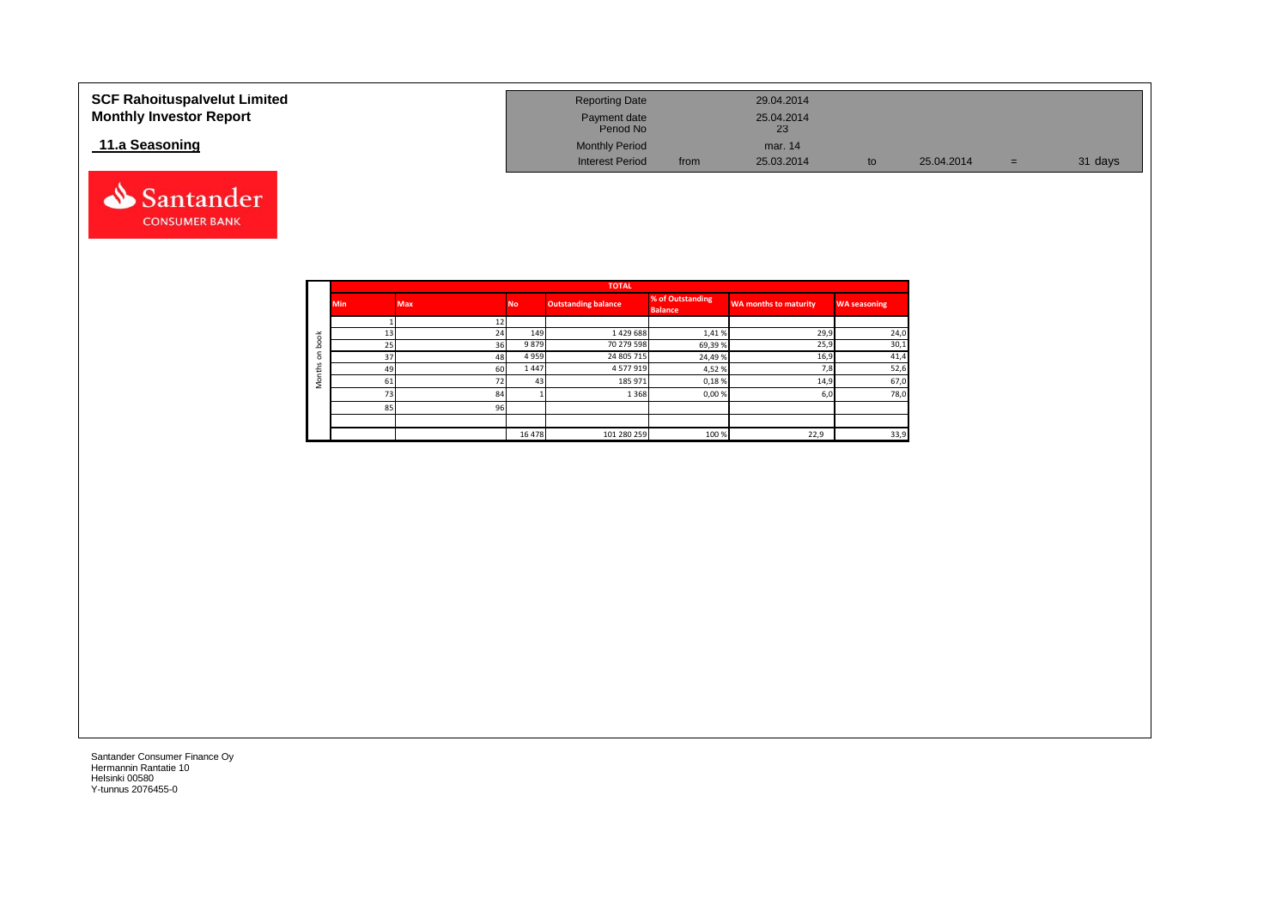| <b>SCF Rahoituspalvelut Limited</b><br><b>Monthly Investor Report</b> | <b>Reporting Date</b><br>Payment date<br>Period No |      | 29.04.2014<br>25.04.2014<br>23 |    |            |     |         |
|-----------------------------------------------------------------------|----------------------------------------------------|------|--------------------------------|----|------------|-----|---------|
| 11.a Seasoning                                                        | <b>Monthly Period</b>                              |      | mar. 14                        |    |            |     |         |
|                                                                       | <b>Interest Period</b>                             | from | 25.03.2014                     | to | 25.04.2014 | $=$ | 31 days |



Santander **CONSUMER BANK**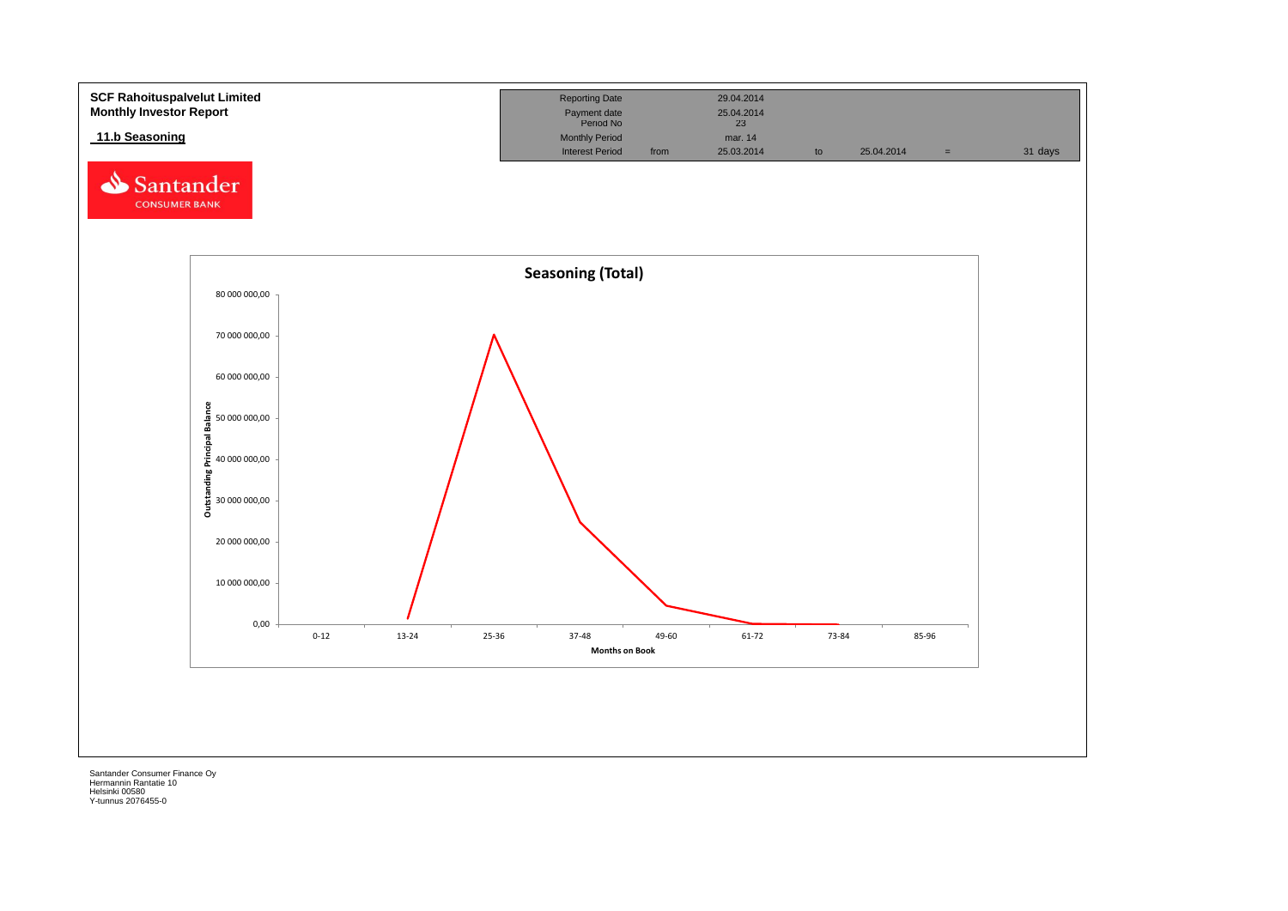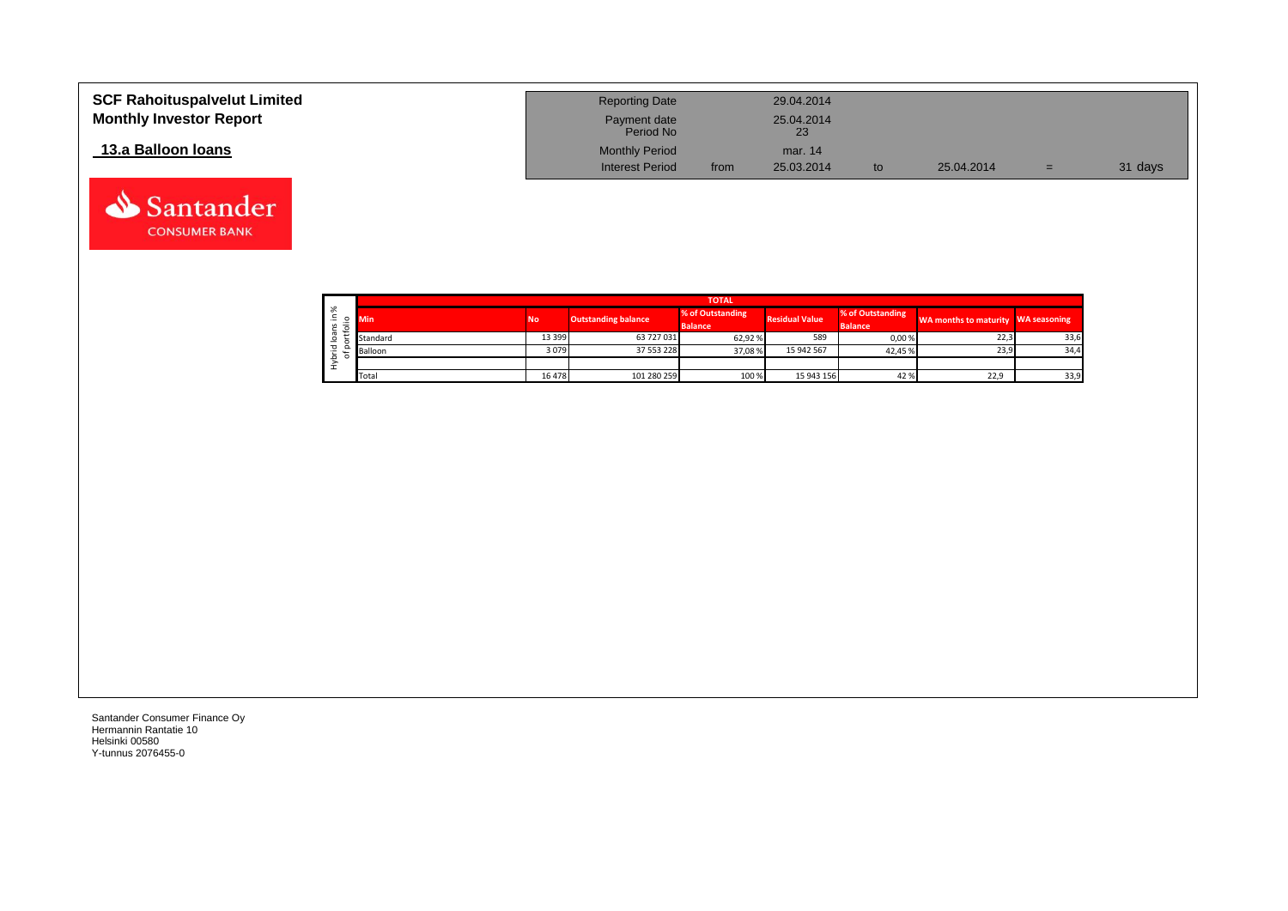| <b>SCF Rahoituspalvelut Limited</b><br><b>Monthly Investor Report</b> | <b>Reporting Date</b><br>Payment date<br>Period No |      | 29.04.2014<br>25.04.2014<br>23 |    |            |     |         |
|-----------------------------------------------------------------------|----------------------------------------------------|------|--------------------------------|----|------------|-----|---------|
| 13.a Balloon Ioans                                                    | <b>Monthly Period</b>                              |      | mar. 14                        |    |            |     |         |
|                                                                       | <b>Interest Period</b>                             | from | 25.03.2014                     | to | 25.04.2014 | $=$ | 31 days |

|               |            |        |                            | <b>TOTAL</b>                       |                       |                                    |                                    |      |
|---------------|------------|--------|----------------------------|------------------------------------|-----------------------|------------------------------------|------------------------------------|------|
| ৯ং<br>$\circ$ | <b>Min</b> | No     | <b>Outstanding balance</b> | % of Outstanding<br><b>Balance</b> | <b>Residual Value</b> | % of Outstanding<br><b>Balance</b> | WA months to maturity WA seasoning |      |
|               | Standard   | 13 399 | 63 727 031                 | 62,92%                             | 589                   | 0,00%                              | 22,3                               | 33,6 |
|               | Balloon    | 3079   | 37 553 228                 | 37,08%                             | 15 942 567            | 42.45%                             | 23,9                               | 34,4 |
|               |            |        |                            |                                    |                       |                                    |                                    |      |
|               | Total      | 16478  | 101 280 259                | 100 %                              | 15 943 156            | 42%                                | 22,9                               | 33,9 |

Santander **CONSUMER BANK**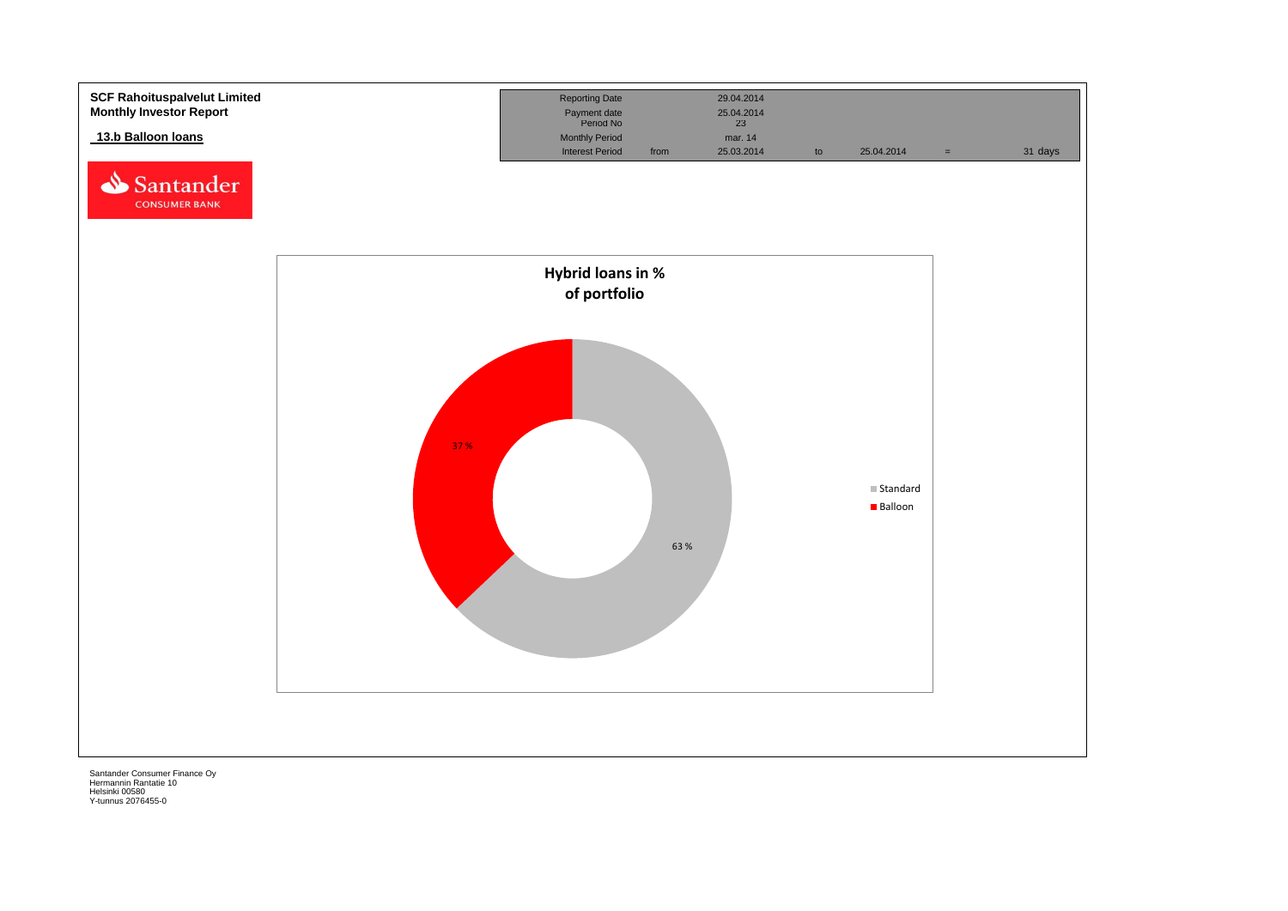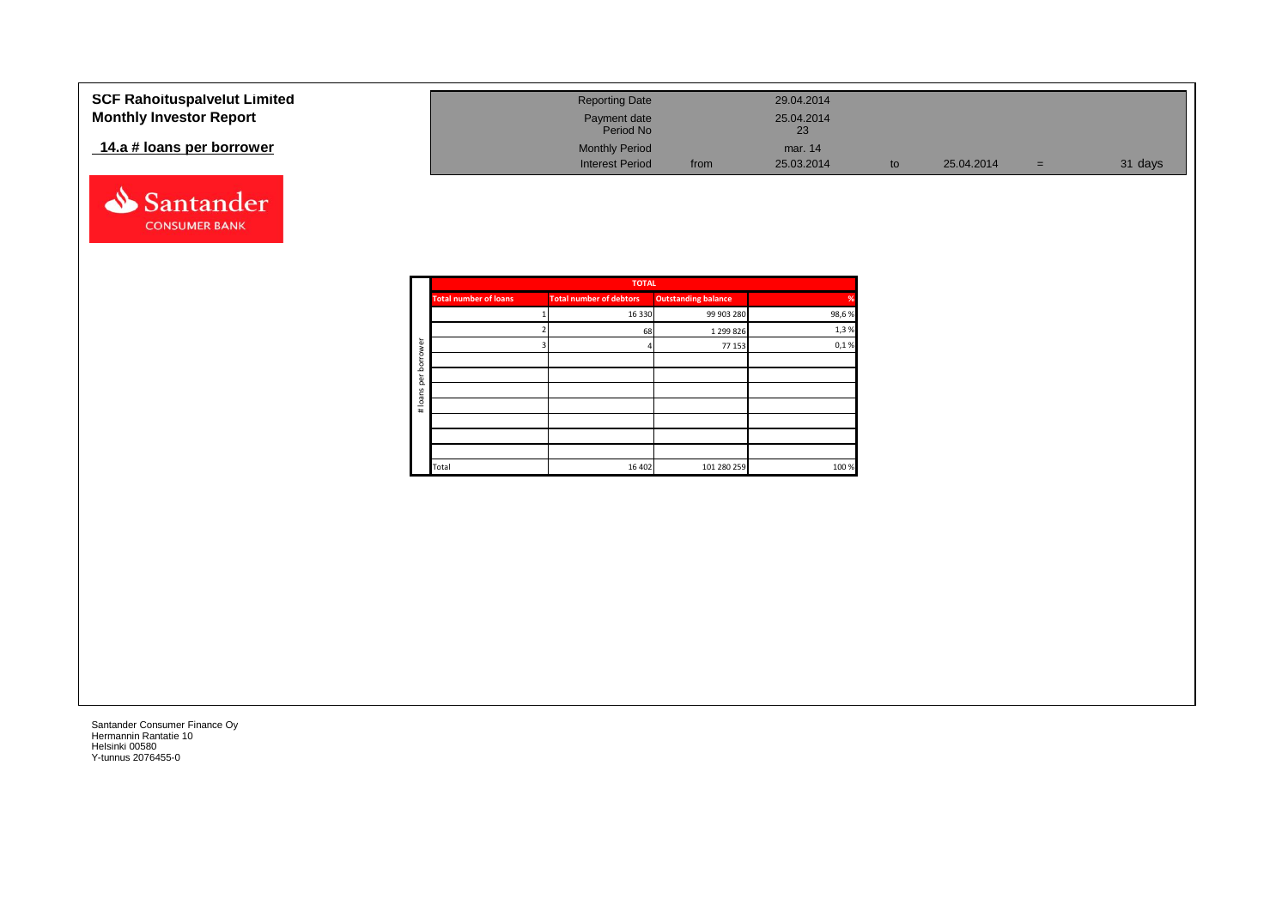| <b>SCF Rahoituspalvelut Limited</b> | <b>Reporting Date</b>     |      | 29.04.2014       |            |     |         |
|-------------------------------------|---------------------------|------|------------------|------------|-----|---------|
| <b>Monthly Investor Report</b>      | Payment date<br>Period No |      | 25.04.2014<br>23 |            |     |         |
| 14.a # loans per borrower           | <b>Monthly Period</b>     |      | mar. 14          |            |     |         |
|                                     | <b>Interest Period</b>    | from | 25.03.2014       | 25.04.2014 | $=$ | 31 days |



|        |                              | <b>TOTAL</b>                   |                            |       |
|--------|------------------------------|--------------------------------|----------------------------|-------|
|        | <b>Total number of loans</b> | <b>Total number of debtors</b> | <b>Outstanding balance</b> | %     |
|        |                              | 16 3 30                        | 99 903 280                 | 98,6% |
|        |                              | 68                             | 1 299 826                  | 1,3%  |
| rower  |                              |                                | 77 153                     | 0,1%  |
| bor    |                              |                                |                            |       |
| ē      |                              |                                |                            |       |
| loans  |                              |                                |                            |       |
| $\ast$ |                              |                                |                            |       |
|        |                              |                                |                            |       |
|        |                              |                                |                            |       |
|        |                              |                                |                            |       |
|        | Total                        | 16 40 2                        | 101 280 259                | 100 % |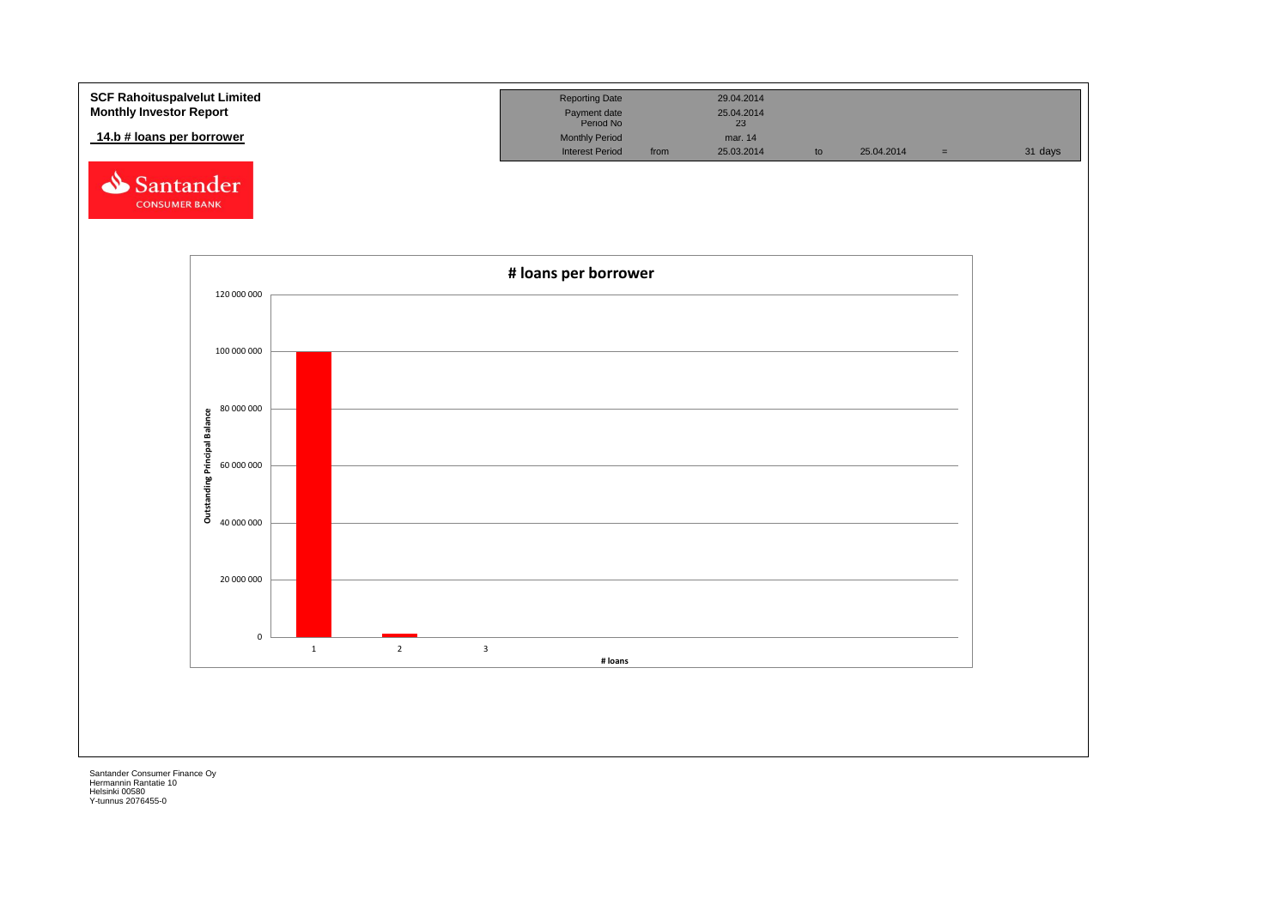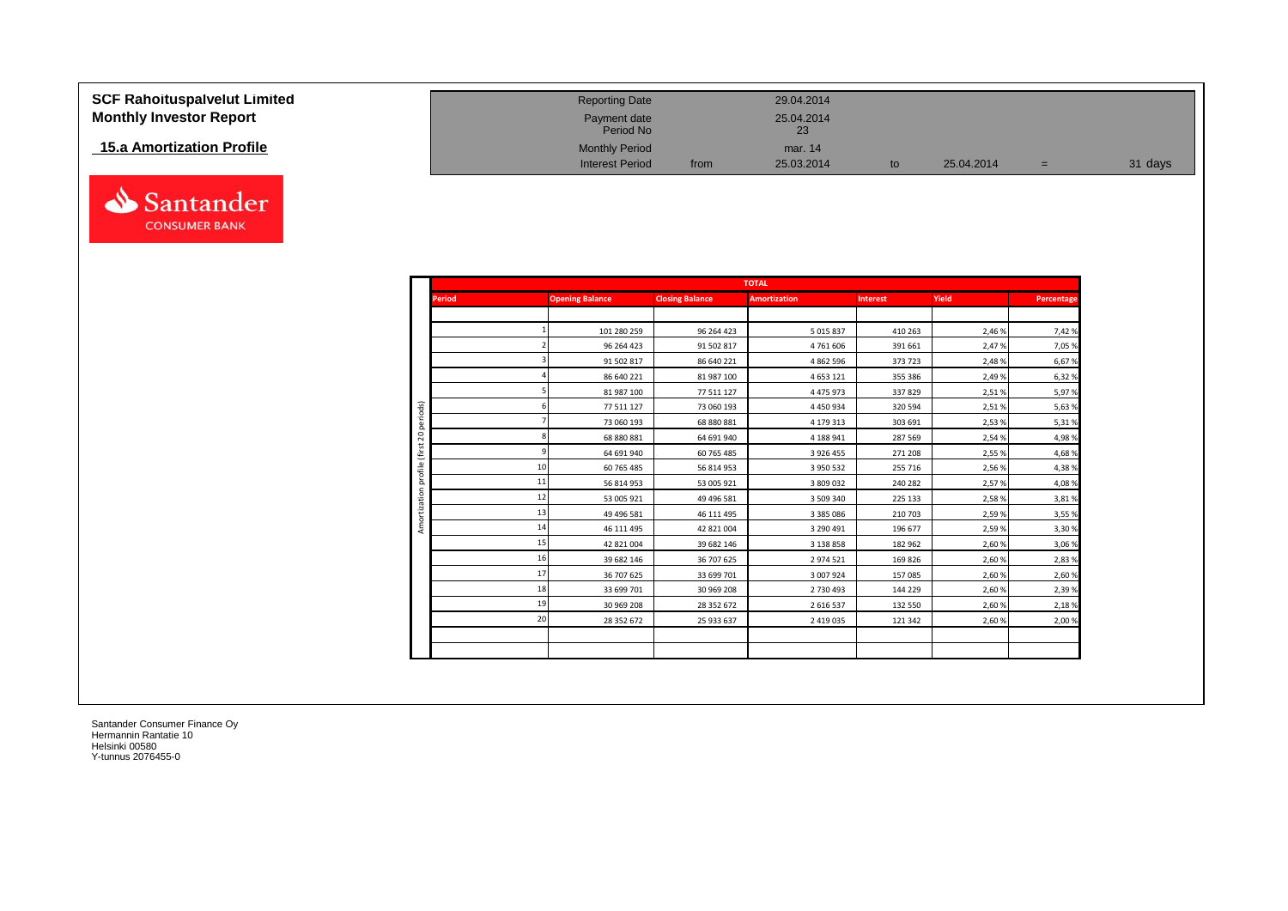| <b>SCF Rahoituspalvelut Limited</b> | <b>Reporting Date</b>     |      | 29.04.2014       |    |            |     |         |
|-------------------------------------|---------------------------|------|------------------|----|------------|-----|---------|
| <b>Monthly Investor Report</b>      | Payment date<br>Period No |      | 25.04.2014<br>23 |    |            |     |         |
| 15.a Amortization Profile           | <b>Monthly Period</b>     |      | mar. 14          |    |            |     |         |
|                                     | <b>Interest Period</b>    | from | 25.03.2014       | to | 25.04.2014 | $=$ | 31 days |

| <b>TOTAL</b>  |                        |                        |                     |                 |        |            |  |  |  |  |  |
|---------------|------------------------|------------------------|---------------------|-----------------|--------|------------|--|--|--|--|--|
| <b>Period</b> | <b>Opening Balance</b> | <b>Closing Balance</b> | <b>Amortization</b> | <b>Interest</b> | Yield  | Percentage |  |  |  |  |  |
|               |                        |                        |                     |                 |        |            |  |  |  |  |  |
|               | 101 280 259            | 96 264 423             | 5 0 1 5 8 3 7       | 410 263         | 2,46 % | 7,42 %     |  |  |  |  |  |
|               | 96 264 423             | 91 502 817             | 4761606             | 391 661         | 2,47%  | 7,05 %     |  |  |  |  |  |
|               | 91 502 817             | 86 640 221             | 4 862 596           | 373 723         | 2,48%  | 6,67%      |  |  |  |  |  |
|               | 86 640 221             | 81 987 100             | 4 6 5 3 1 2 1       | 355 386         | 2,49%  | 6,32%      |  |  |  |  |  |
|               | 81 987 100             | 77 511 127             | 4 4 7 5 9 7 3       | 337829          | 2,51%  | 5,97%      |  |  |  |  |  |
|               | 77 511 127             | 73 060 193             | 4450934             | 320 594         | 2,51%  | 5,63%      |  |  |  |  |  |
|               | 73 060 193             | 68 880 881             | 4 179 313           | 303 691         | 2,53%  | 5,31%      |  |  |  |  |  |
|               | 68 880 881             | 64 691 940             | 4 188 941           | 287 569         | 2,54%  | 4,98%      |  |  |  |  |  |
|               | 64 691 940             | 60 765 485             | 3 926 455           | 271 208         | 2,55 % | 4,68%      |  |  |  |  |  |
| 10            | 60 765 485             | 56 814 953             | 3 950 532           | 255 716         | 2,56%  | 4,38%      |  |  |  |  |  |
| 11            | 56 814 953             | 53 005 921             | 3 809 032           | 240 282         | 2,57%  | 4,08%      |  |  |  |  |  |
| 12            | 53 005 921             | 49 496 581             | 3 509 340           | 225 133         | 2,58%  | 3,81%      |  |  |  |  |  |
| 13            | 49 496 581             | 46 111 495             | 3 385 086           | 210 703         | 2,59%  | 3,55 %     |  |  |  |  |  |
| 14            | 46 111 495             | 42 821 004             | 3 290 491           | 196 677         | 2,59%  | 3,30%      |  |  |  |  |  |
| 15            | 42 821 004             | 39 682 146             | 3 138 858           | 182 962         | 2,60%  | 3,06 %     |  |  |  |  |  |
| 16            | 39 682 146             | 36 707 625             | 2974521             | 169 826         | 2,60%  | 2,83 %     |  |  |  |  |  |
| 17            | 36 707 625             | 33 699 701             | 3 007 924           | 157085          | 2,60%  | 2,60 %     |  |  |  |  |  |
| 18            | 33 699 701             | 30 969 208             | 2 730 493           | 144 229         | 2,60%  | 2,39 %     |  |  |  |  |  |
| 19            | 30 969 208             | 28 352 672             | 2 6 1 6 5 3 7       | 132 550         | 2,60%  | 2,18%      |  |  |  |  |  |
| 20            | 28 352 672             | 25 933 637             | 2 419 035           | 121 342         | 2,60%  | 2,00 %     |  |  |  |  |  |

Santander **CONSUMER BANK**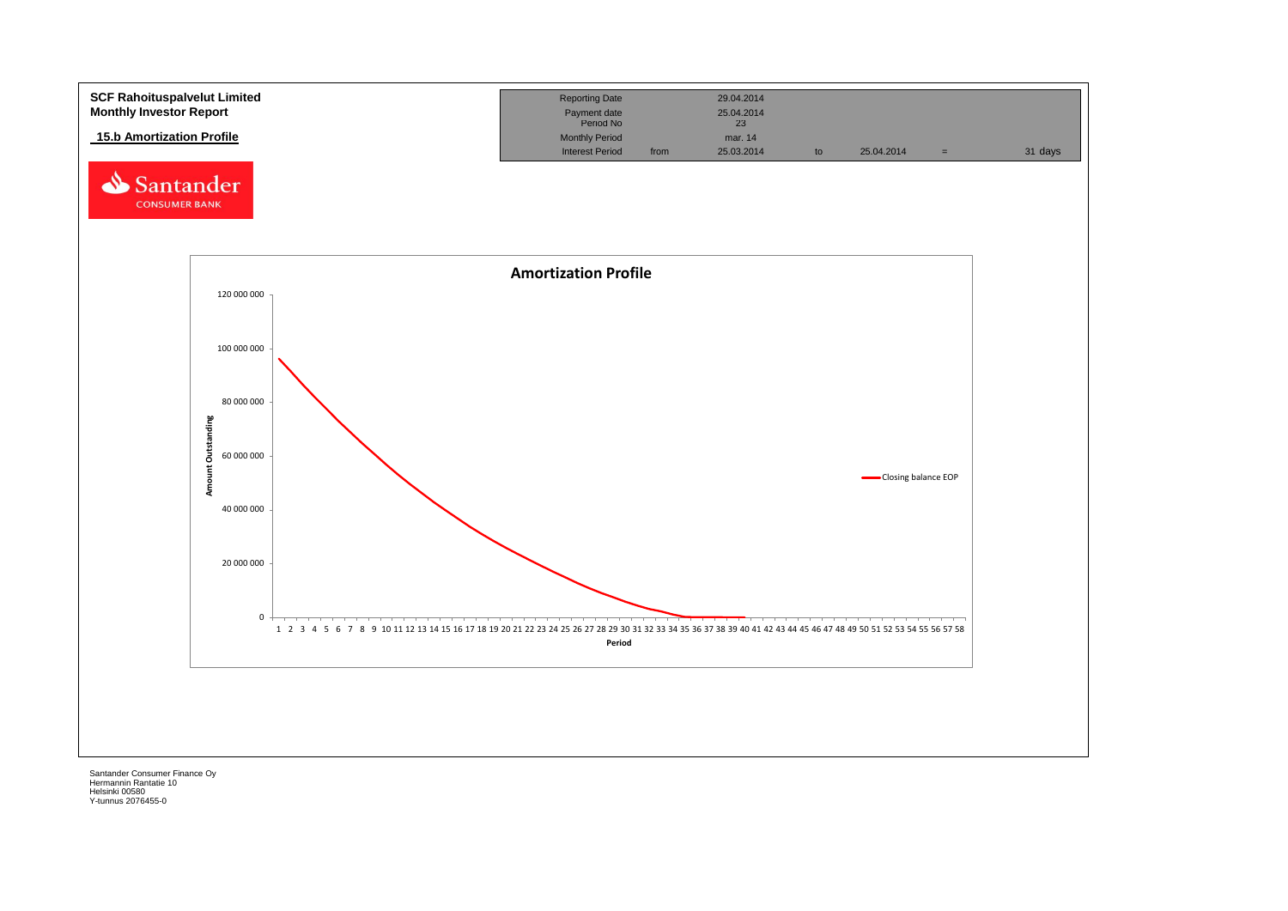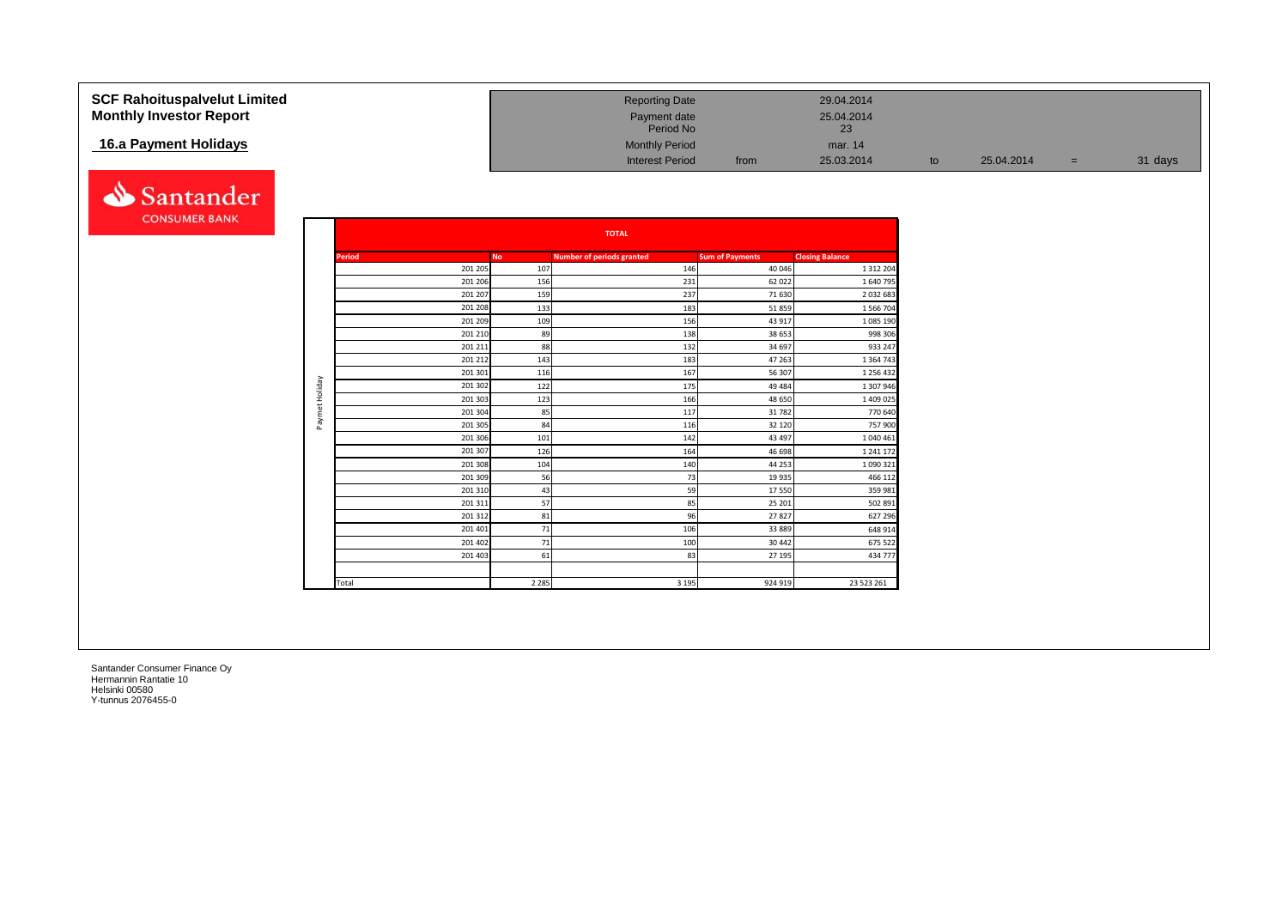| <b>SCF Rahoituspalvelut Limited</b><br><b>Monthly Investor Report</b> |                |                    |            | <b>Reporting Date</b><br>Payment date |                        | 29.04.2014<br>25.04.2014 |    |            |     |         |
|-----------------------------------------------------------------------|----------------|--------------------|------------|---------------------------------------|------------------------|--------------------------|----|------------|-----|---------|
|                                                                       |                |                    |            | Period No                             |                        | 23                       |    |            |     |         |
| 16.a Payment Holidays                                                 |                |                    |            | <b>Monthly Period</b>                 |                        | mar. 14                  |    |            |     |         |
|                                                                       |                |                    |            | <b>Interest Period</b>                | from                   | 25.03.2014               | to | 25.04.2014 | $=$ | 31 days |
| Santander<br><b>CONSUMER BANK</b>                                     |                |                    |            |                                       |                        |                          |    |            |     |         |
|                                                                       |                |                    |            | <b>TOTAL</b>                          |                        |                          |    |            |     |         |
|                                                                       |                | Period             | <b>No</b>  | <b>Number of periods granted</b>      | <b>Sum of Payments</b> | <b>Closing Balance</b>   |    |            |     |         |
|                                                                       |                | 201 205            | 107        | 146                                   | 40 046                 | 1 3 1 2 2 0 4            |    |            |     |         |
|                                                                       |                | 201 206            | 156        | 231                                   | 62 022                 | 1 640 79                 |    |            |     |         |
|                                                                       |                | 201 207            | 159        | 237                                   | 71 630                 | 2 0 3 2 6 8              |    |            |     |         |
|                                                                       |                | 201 208            | 133        | 183                                   | 51859                  | 1 566 704                |    |            |     |         |
|                                                                       |                | 201 209            | 109        | 156                                   | 43 917                 | 1 085 190                |    |            |     |         |
|                                                                       |                | 201 210            | 89         | 138                                   | 38 653                 | 998 306                  |    |            |     |         |
|                                                                       |                | 201 211            | 88         | 132                                   | 34 697                 | 933 247                  |    |            |     |         |
|                                                                       |                | 201 212            | 143        | 183                                   | 47 263                 | 1 3 6 4 7 4 3            |    |            |     |         |
|                                                                       |                | 201 301            | 116        | 167                                   | 56 307                 | 1 256 432                |    |            |     |         |
|                                                                       |                | 201 302            | 122        | 175                                   | 49 4 84                | 1 307 946                |    |            |     |         |
|                                                                       |                | 201 303            | 123        | 166                                   | 48 650                 | 1 409 025                |    |            |     |         |
|                                                                       | Paymet Holiday | 201 304            | 85         | 117                                   | 31782                  | 770 640                  |    |            |     |         |
|                                                                       |                | 201 305<br>201 306 | 84         | 116<br>142                            | 32 120                 | 757 900<br>1 040 46      |    |            |     |         |
|                                                                       |                | 201 307            | 101<br>126 | 164                                   | 43 497<br>46 698       | 1 241 172                |    |            |     |         |
|                                                                       |                | 201 308            | 104        | 140                                   | 44 253                 | 1 090 321                |    |            |     |         |
|                                                                       |                | 201 309            | 56         | 73                                    | 19 9 35                | 466 112                  |    |            |     |         |
|                                                                       |                | 201 310            | 43         | 59                                    | 17550                  | 359 981                  |    |            |     |         |
|                                                                       |                | 201 311            | 57         | 85                                    | 25 201                 | 502 891                  |    |            |     |         |
|                                                                       |                | 201312             | 81         | 96                                    | 27827                  | 627 296                  |    |            |     |         |
|                                                                       |                | 201 401            | 71         | 106                                   | 33 889                 | 648 914                  |    |            |     |         |
|                                                                       |                | 201 402            | 71         | 100                                   | 30 442                 | 675 522                  |    |            |     |         |
|                                                                       |                | 201 403            | 61         | 83                                    | 27 195                 | 434 777                  |    |            |     |         |
|                                                                       |                |                    |            |                                       |                        |                          |    |            |     |         |
|                                                                       |                |                    | 2 2 8 5    | 3 1 9 5                               | 924 919                | 23 523 261               |    |            |     |         |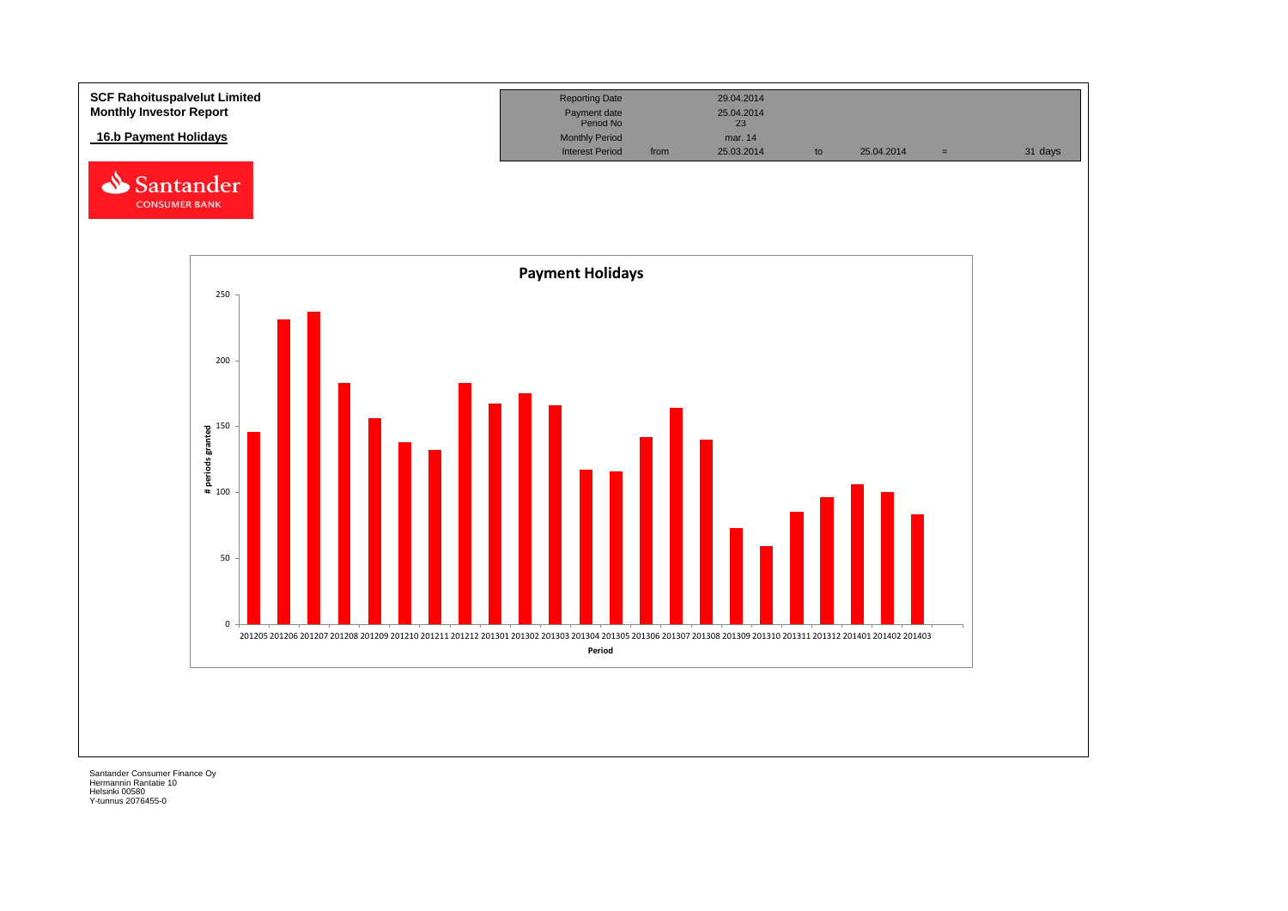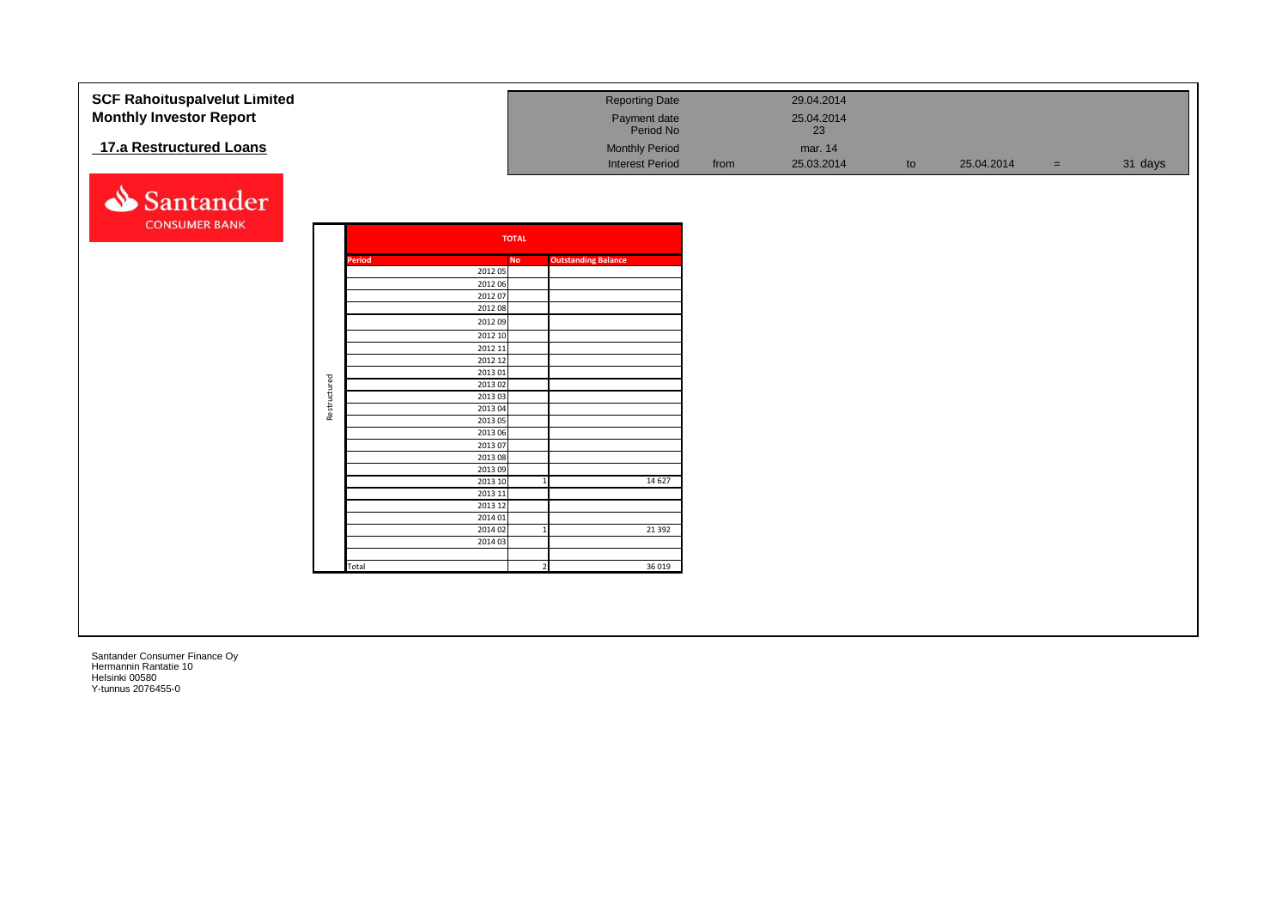| <b>SCF Rahoituspalvelut Limited</b><br><b>Monthly Investor Report</b> |              |                    |              | <b>Reporting Date</b><br>Payment date |      | 29.04.2014<br>25.04.2014 |    |            |     |         |
|-----------------------------------------------------------------------|--------------|--------------------|--------------|---------------------------------------|------|--------------------------|----|------------|-----|---------|
| 17.a Restructured Loans                                               |              |                    |              | Period No<br><b>Monthly Period</b>    |      | 23<br>mar. 14            |    |            |     |         |
| Santander<br><b>CONSUMER BANK</b>                                     |              |                    | <b>TOTAL</b> | <b>Interest Period</b>                | from | 25.03.2014               | to | 25.04.2014 | $=$ | 31 days |
|                                                                       |              | Period             | <b>No</b>    | <b>Outstanding Balance</b>            |      |                          |    |            |     |         |
|                                                                       |              | 2012 05            |              |                                       |      |                          |    |            |     |         |
|                                                                       |              | 2012 06            |              |                                       |      |                          |    |            |     |         |
|                                                                       |              | 2012 07            |              |                                       |      |                          |    |            |     |         |
|                                                                       |              | 2012 08            |              |                                       |      |                          |    |            |     |         |
|                                                                       |              | 2012 09<br>2012 10 |              |                                       |      |                          |    |            |     |         |
|                                                                       |              | 2012 11            |              |                                       |      |                          |    |            |     |         |
|                                                                       |              | 2012 12            |              |                                       |      |                          |    |            |     |         |
|                                                                       |              | 2013 01            |              |                                       |      |                          |    |            |     |         |
|                                                                       |              | 2013 02            |              |                                       |      |                          |    |            |     |         |
|                                                                       | Restructured | 2013 03<br>2013 04 |              |                                       |      |                          |    |            |     |         |
|                                                                       |              | 2013 05            |              |                                       |      |                          |    |            |     |         |
|                                                                       |              | 2013 06            |              |                                       |      |                          |    |            |     |         |
|                                                                       |              | 2013 07            |              |                                       |      |                          |    |            |     |         |
|                                                                       |              | 2013 08            |              |                                       |      |                          |    |            |     |         |
|                                                                       |              | 201309<br>2013 10  |              | 14 6 27<br>-1                         |      |                          |    |            |     |         |
|                                                                       |              | 2013 11            |              |                                       |      |                          |    |            |     |         |
|                                                                       |              | 2013 12            |              |                                       |      |                          |    |            |     |         |
|                                                                       |              | 2014 01            |              |                                       |      |                          |    |            |     |         |
|                                                                       |              | 2014 02            |              | 21 3 92                               |      |                          |    |            |     |         |
|                                                                       |              | 2014 03            |              |                                       |      |                          |    |            |     |         |
|                                                                       |              | Total              |              | 36 0 19<br>$\overline{2}$             |      |                          |    |            |     |         |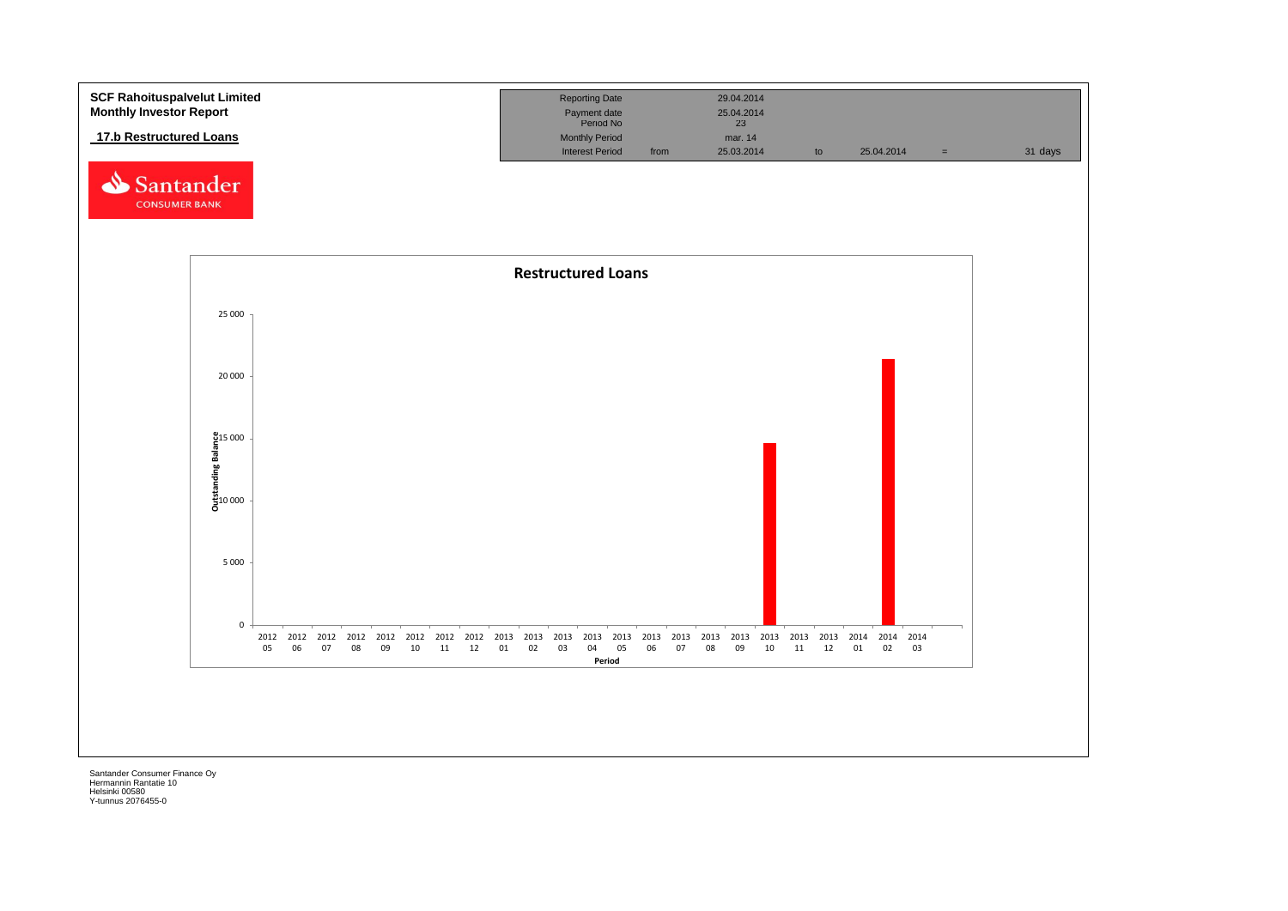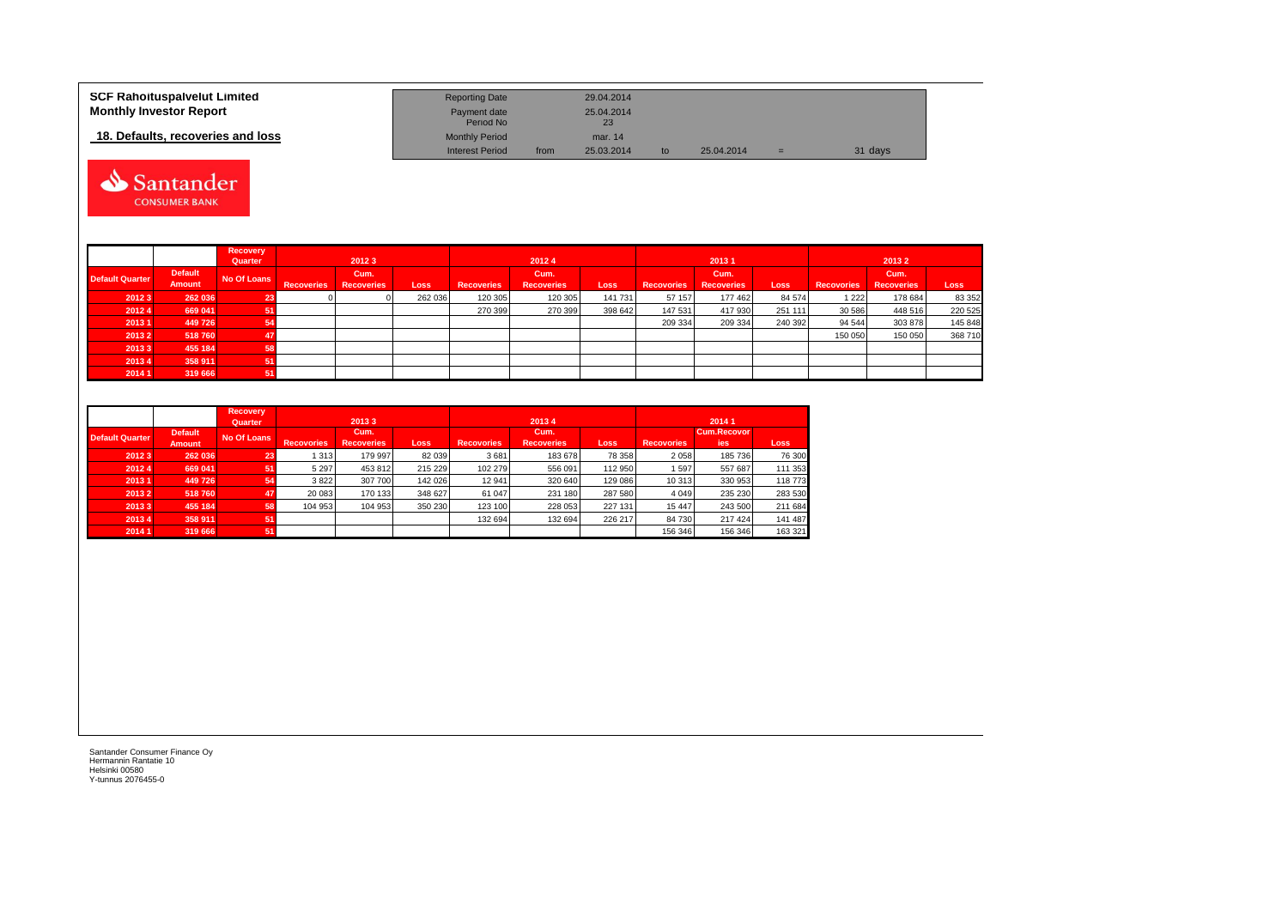| <b>SCF Rahoituspalvelut Limited</b> | <b>Reporting Date</b>     |      | 29.04.2014       |    |            |     |         |
|-------------------------------------|---------------------------|------|------------------|----|------------|-----|---------|
| <b>Monthly Investor Report</b>      | Payment date<br>Period No |      | 25.04.2014<br>23 |    |            |     |         |
| 18. Defaults, recoveries and loss   | <b>Monthly Period</b>     |      | mar. 14          |    |            |     |         |
|                                     | <b>Interest Period</b>    | from | 25.03.2014       | to | 25.04.2014 | $=$ | 31 days |



|                        |                | <b>Recovery</b> |                   |                   |         |                   |                   |             |                   |                   |         |                   |                   |         |  |
|------------------------|----------------|-----------------|-------------------|-------------------|---------|-------------------|-------------------|-------------|-------------------|-------------------|---------|-------------------|-------------------|---------|--|
|                        |                | Quarter         |                   | 20123             |         |                   | 20124             |             |                   | 20131             |         | 20132             |                   |         |  |
| <b>Default Quarter</b> | <b>Default</b> | No Of Loans     |                   | Cum.              |         |                   | Cum.              |             |                   | Cum.              |         |                   | Cum.              |         |  |
|                        | Amount         |                 | <b>Recoveries</b> | <b>Recoveries</b> | Loss    | <b>Recoveries</b> | <b>Recoveries</b> | <b>Loss</b> | <b>Recovories</b> | <b>Recoveries</b> | Loss    | <b>Recovories</b> | <b>Recoveries</b> | Loss    |  |
| 20123                  | 262 036        | 23              |                   |                   | 262 036 | 120 305           | 120 305           | 141 731     | 57 157            | 177 462           | 84 574  | 1 2 2 2           | 178 684           | 83 352  |  |
| 20124                  | 669 041        |                 |                   |                   |         | 270 399           | 270 399           | 398 642     | 147 531           | 417 930           | 251 111 | 30 586            | 448 516           | 220 525 |  |
| 20131                  | 449726         |                 |                   |                   |         |                   |                   |             | 209 334           | 209 334           | 240 392 | 94 544            | 303 878           | 145 848 |  |
| 20132                  | 518760         |                 |                   |                   |         |                   |                   |             |                   |                   |         | 150 050           | 150 050           | 368 710 |  |
| 20133                  | 455 184        |                 |                   |                   |         |                   |                   |             |                   |                   |         |                   |                   |         |  |
| 20134                  | 358 911        |                 |                   |                   |         |                   |                   |             |                   |                   |         |                   |                   |         |  |
| 2014 1                 | 319 666        |                 |                   |                   |         |                   |                   |             |                   |                   |         |                   |                   |         |  |

|                        |                          | <b>Recovery</b><br>Quarter |                   | 20133                     |             |                   | 20134                     |         | 2014 1            |                                  |             |  |  |
|------------------------|--------------------------|----------------------------|-------------------|---------------------------|-------------|-------------------|---------------------------|---------|-------------------|----------------------------------|-------------|--|--|
| <b>Default Quarter</b> | <b>Default</b>           | No Of Loans                | <b>Recovories</b> | Cum.<br><b>Recoveries</b> | <b>Loss</b> | <b>Recovories</b> | Cum.<br><b>Recoveries</b> | Loss    | <b>Recovories</b> | <b>Cum.Recovor</b><br><b>ies</b> | <b>Loss</b> |  |  |
| 20123                  | <b>Amount</b><br>262 036 | 23                         | 1 313             | 179 997                   | 82 039      | 3681              | 183 678                   | 78 358  | 2058              | 185 736                          | 76 300      |  |  |
| 20124                  | 669 041                  | 51                         | 5 2 9 7           | 453 812                   | 215 229     | 102 279           | 556 091                   | 112 950 | 1597              | 557 687                          | 111 353     |  |  |
| 20131                  | 449726                   | 54                         | 3822              | 307 700                   | 142 026     | 12 941            | 320 640                   | 129 086 | 10 313            | 330 953                          | 118 773     |  |  |
| 2013 2                 | 518760                   | 47                         | 20 083            | 170 133                   | 348 627     | 61 047            | 231 180                   | 287 580 | 4 0 4 9           | 235 230                          | 283 530     |  |  |
| 20133                  | 455 184                  | 58                         | 104 953           | 104 953                   | 350 230     | 123 100           | 228 053                   | 227 131 | 15 4 4 7          | 243 500                          | 211 684     |  |  |
| 20134                  | 358 911                  | 51                         |                   |                           |             | 132 694           | 132 694                   | 226 217 | 84 730            | 217 424                          | 141 487     |  |  |
| 2014 1                 | 319 666                  | 51                         |                   |                           |             |                   |                           |         | 156 346           | 156 346                          | 163 321     |  |  |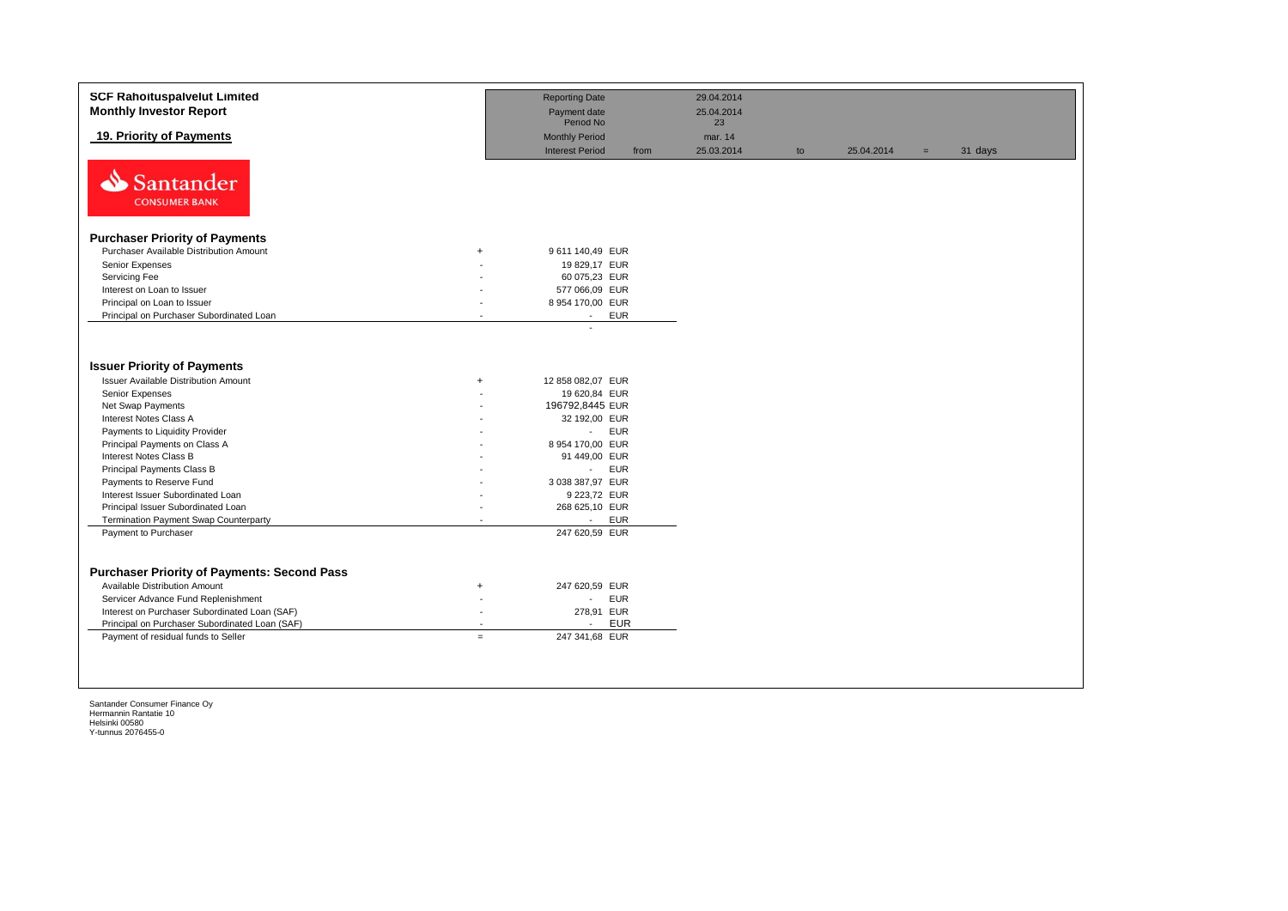| <b>SCF Rahoituspalvelut Limited</b><br><b>Monthly Investor Report</b>                                                                                                                                                                                                |                                           | <b>Reporting Date</b><br>Payment date                                                          | 29.04.2014<br>25.04.2014 |    |            |     |         |
|----------------------------------------------------------------------------------------------------------------------------------------------------------------------------------------------------------------------------------------------------------------------|-------------------------------------------|------------------------------------------------------------------------------------------------|--------------------------|----|------------|-----|---------|
|                                                                                                                                                                                                                                                                      |                                           | Period No                                                                                      | 23                       |    |            |     |         |
| 19. Priority of Payments                                                                                                                                                                                                                                             |                                           | <b>Monthly Period</b>                                                                          | mar. 14                  |    |            |     |         |
| N<br>Santander<br><b>CONSUMER BANK</b>                                                                                                                                                                                                                               |                                           | <b>Interest Period</b><br>from                                                                 | 25.03.2014               | to | 25.04.2014 | $=$ | 31 days |
| <b>Purchaser Priority of Payments</b>                                                                                                                                                                                                                                |                                           |                                                                                                |                          |    |            |     |         |
| Purchaser Available Distribution Amount                                                                                                                                                                                                                              | $\ddot{}$                                 | 9 611 140,49 EUR                                                                               |                          |    |            |     |         |
| Senior Expenses                                                                                                                                                                                                                                                      |                                           | 19 829,17 EUR                                                                                  |                          |    |            |     |         |
| Servicing Fee                                                                                                                                                                                                                                                        |                                           | 60 075,23 EUR                                                                                  |                          |    |            |     |         |
| Interest on Loan to Issuer                                                                                                                                                                                                                                           |                                           | 577 066,09 EUR                                                                                 |                          |    |            |     |         |
| Principal on Loan to Issuer                                                                                                                                                                                                                                          |                                           | 8 954 170,00 EUR                                                                               |                          |    |            |     |         |
| Principal on Purchaser Subordinated Loan                                                                                                                                                                                                                             |                                           | <b>EUR</b><br>$\blacksquare$                                                                   |                          |    |            |     |         |
| <b>Issuer Priority of Payments</b><br><b>Issuer Available Distribution Amount</b><br>Senior Expenses<br>Net Swap Payments                                                                                                                                            | $+$                                       | 12 858 082,07 EUR<br>19 620,84 EUR<br>196792,8445 EUR                                          |                          |    |            |     |         |
| Interest Notes Class A                                                                                                                                                                                                                                               |                                           | 32 192,00 EUR                                                                                  |                          |    |            |     |         |
| Payments to Liquidity Provider                                                                                                                                                                                                                                       |                                           | <b>EUR</b><br>$\blacksquare$                                                                   |                          |    |            |     |         |
| Principal Payments on Class A                                                                                                                                                                                                                                        |                                           | 8 954 170,00 EUR                                                                               |                          |    |            |     |         |
| Interest Notes Class B                                                                                                                                                                                                                                               |                                           | 91 449,00 EUR                                                                                  |                          |    |            |     |         |
| Principal Payments Class B                                                                                                                                                                                                                                           |                                           | <b>EUR</b><br>$\blacksquare$                                                                   |                          |    |            |     |         |
| Payments to Reserve Fund                                                                                                                                                                                                                                             |                                           | 3 038 387,97 EUR                                                                               |                          |    |            |     |         |
| Interest Issuer Subordinated Loan                                                                                                                                                                                                                                    |                                           | 9 223,72 EUR                                                                                   |                          |    |            |     |         |
| Principal Issuer Subordinated Loan                                                                                                                                                                                                                                   |                                           | 268 625,10 EUR                                                                                 |                          |    |            |     |         |
| Termination Payment Swap Counterparty                                                                                                                                                                                                                                |                                           | <b>EUR</b><br>$\sim$                                                                           |                          |    |            |     |         |
| Payment to Purchaser                                                                                                                                                                                                                                                 |                                           | 247 620,59 EUR                                                                                 |                          |    |            |     |         |
| <b>Purchaser Priority of Payments: Second Pass</b><br>Available Distribution Amount<br>Servicer Advance Fund Replenishment<br>Interest on Purchaser Subordinated Loan (SAF)<br>Principal on Purchaser Subordinated Loan (SAF)<br>Payment of residual funds to Seller | $\ddot{}$<br>$\sim$<br>$\sim$<br>$=$ $\,$ | 247 620,59 EUR<br><b>EUR</b><br>$\sim$<br>278,91 EUR<br><b>EUR</b><br>$\sim$<br>247 341,68 EUR |                          |    |            |     |         |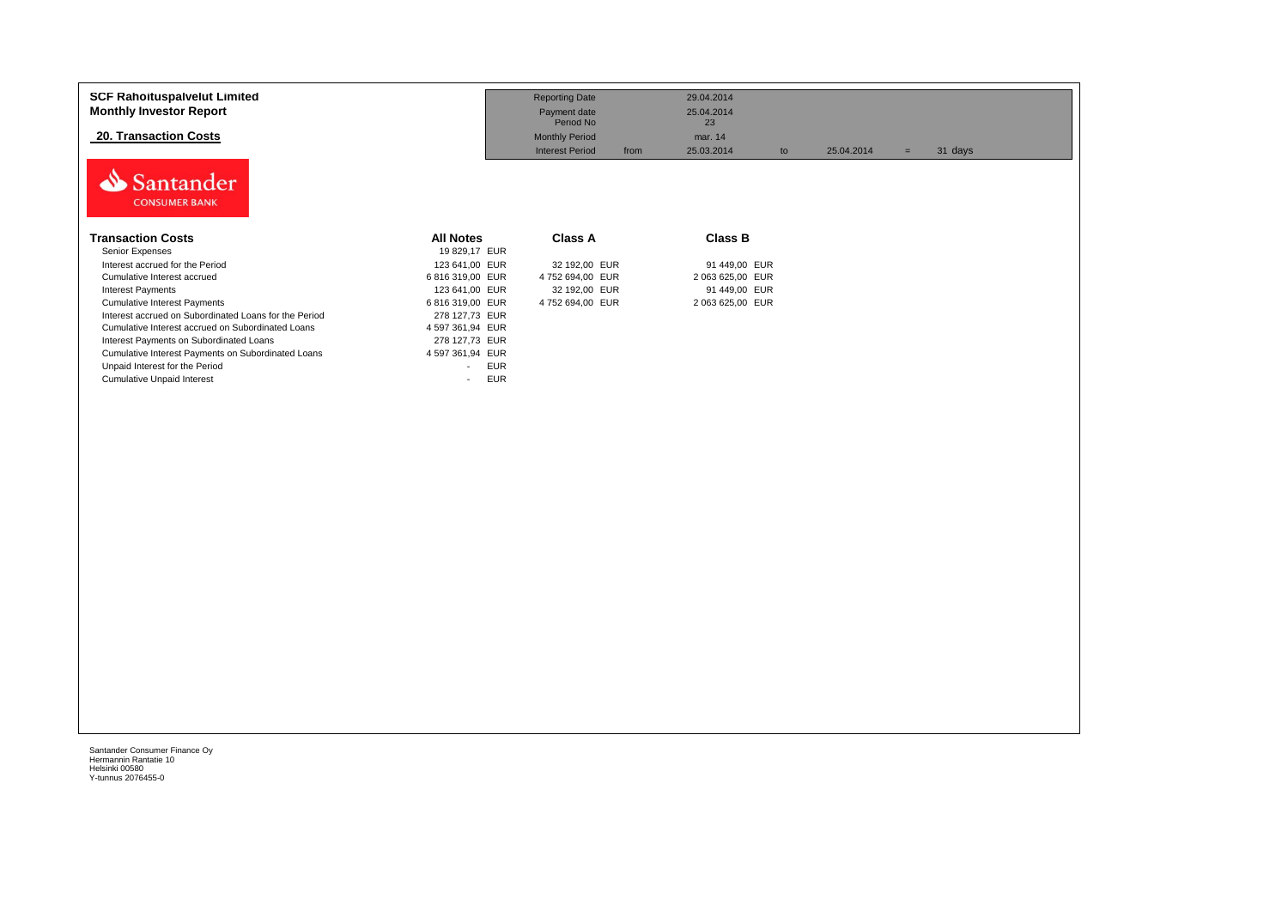| <b>SCF Rahoituspalvelut Limited</b><br><b>Monthly Investor Report</b> |                                        | <b>Reporting Date</b><br>Payment date<br>Period No | 29.04.2014<br>25.04.2014<br>23 |    |            |     |         |
|-----------------------------------------------------------------------|----------------------------------------|----------------------------------------------------|--------------------------------|----|------------|-----|---------|
| <b>20. Transaction Costs</b>                                          |                                        | <b>Monthly Period</b>                              | mar. 14                        |    |            |     |         |
|                                                                       |                                        | <b>Interest Period</b><br>from                     | 25.03.2014                     | to | 25.04.2014 | $=$ | 31 days |
| Santander<br><b>CONSUMER BANK</b>                                     |                                        |                                                    |                                |    |            |     |         |
| <b>Transaction Costs</b>                                              | <b>All Notes</b>                       | <b>Class A</b>                                     | <b>Class B</b>                 |    |            |     |         |
| Senior Expenses                                                       | 19 829,17 EUR                          |                                                    |                                |    |            |     |         |
| Interest accrued for the Period                                       | 123 641,00 EUR                         | 32 192,00 EUR                                      | 91 449,00 EUR                  |    |            |     |         |
| Cumulative Interest accrued                                           | 6816319,00 EUR                         | 4 752 694,00 EUR                                   | 2 063 625,00 EUR               |    |            |     |         |
| <b>Interest Payments</b>                                              | 123 641,00 EUR                         | 32 192,00 EUR                                      | 91 449,00 EUR                  |    |            |     |         |
| <b>Cumulative Interest Payments</b>                                   | 6816319,00 EUR                         | 4 752 694,00 EUR                                   | 2 063 625,00 EUR               |    |            |     |         |
| Interest accrued on Subordinated Loans for the Period                 | 278 127,73 EUR                         |                                                    |                                |    |            |     |         |
| Cumulative Interest accrued on Subordinated Loans                     | 4 597 361,94 EUR                       |                                                    |                                |    |            |     |         |
| Interest Payments on Subordinated Loans                               | 278 127,73 EUR                         |                                                    |                                |    |            |     |         |
| Cumulative Interest Payments on Subordinated Loans                    | 4 597 361,94 EUR                       |                                                    |                                |    |            |     |         |
| Unpaid Interest for the Period                                        | <b>EUR</b><br>$\overline{\phantom{a}}$ |                                                    |                                |    |            |     |         |
| <b>Cumulative Unpaid Interest</b>                                     | <b>EUR</b><br>$\sim$                   |                                                    |                                |    |            |     |         |
|                                                                       |                                        |                                                    |                                |    |            |     |         |
|                                                                       |                                        |                                                    |                                |    |            |     |         |
|                                                                       |                                        |                                                    |                                |    |            |     |         |
|                                                                       |                                        |                                                    |                                |    |            |     |         |
|                                                                       |                                        |                                                    |                                |    |            |     |         |
|                                                                       |                                        |                                                    |                                |    |            |     |         |
|                                                                       |                                        |                                                    |                                |    |            |     |         |
|                                                                       |                                        |                                                    |                                |    |            |     |         |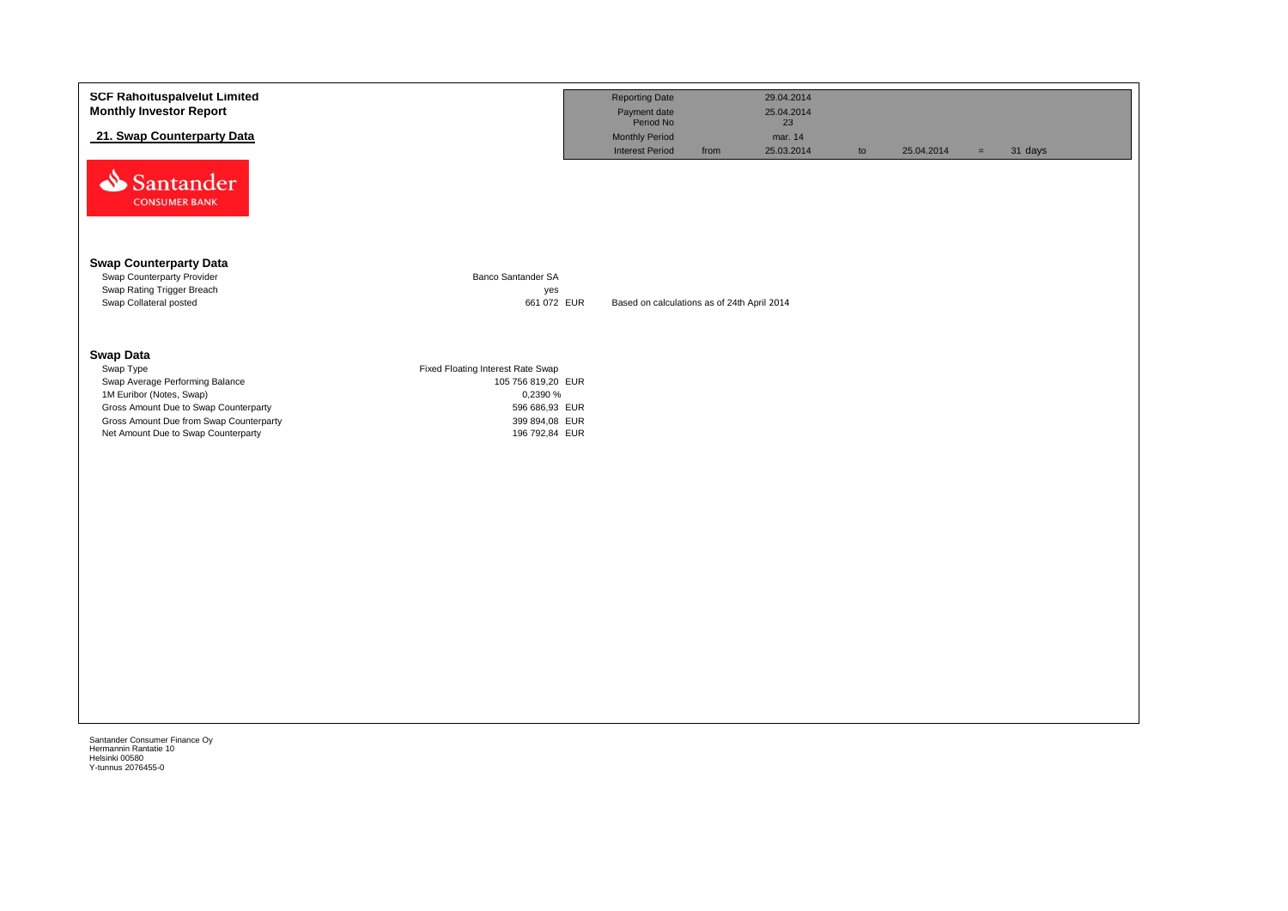| <b>SCF Rahoituspalvelut Limited</b><br><b>Monthly Investor Report</b>                    |                                  | <b>Reporting Date</b><br>Payment date       |      | 29.04.2014<br>25.04.2014 |    |            |     |         |
|------------------------------------------------------------------------------------------|----------------------------------|---------------------------------------------|------|--------------------------|----|------------|-----|---------|
| 21. Swap Counterparty Data                                                               |                                  | Period No<br>Monthly Period                 |      | 23<br>mar. 14            |    |            |     |         |
| Santander<br><b>CONSUMER BANK</b>                                                        |                                  | <b>Interest Period</b>                      | from | 25.03.2014               | to | 25.04.2014 | $=$ | 31 days |
| <b>Swap Counterparty Data</b><br>Swap Counterparty Provider<br><b>Banco Santander SA</b> |                                  |                                             |      |                          |    |            |     |         |
| Swap Rating Trigger Breach<br>Swap Collateral posted                                     | yes<br>661 072 EUR               | Based on calculations as of 24th April 2014 |      |                          |    |            |     |         |
| <b>Swap Data</b>                                                                         |                                  |                                             |      |                          |    |            |     |         |
| Swap Type<br>Fixed Floating Interest Rate Swap<br>Swap Average Performing Balance        | 105 756 819,20 EUR               |                                             |      |                          |    |            |     |         |
| 1M Euribor (Notes, Swap)<br>Gross Amount Due to Swap Counterparty                        | 0,2390 %<br>596 686,93 EUR       |                                             |      |                          |    |            |     |         |
| Gross Amount Due from Swap Counterparty<br>Net Amount Due to Swap Counterparty           | 399 894,08 EUR<br>196 792,84 EUR |                                             |      |                          |    |            |     |         |
|                                                                                          |                                  |                                             |      |                          |    |            |     |         |
|                                                                                          |                                  |                                             |      |                          |    |            |     |         |
|                                                                                          |                                  |                                             |      |                          |    |            |     |         |
|                                                                                          |                                  |                                             |      |                          |    |            |     |         |
|                                                                                          |                                  |                                             |      |                          |    |            |     |         |
|                                                                                          |                                  |                                             |      |                          |    |            |     |         |
|                                                                                          |                                  |                                             |      |                          |    |            |     |         |
| Santander Consumer Finance Oy<br>Hermannin Rantatie 10<br>Heleinki 00580                 |                                  |                                             |      |                          |    |            |     |         |

Helsinki 00580 Y-tunnus 2076455-0